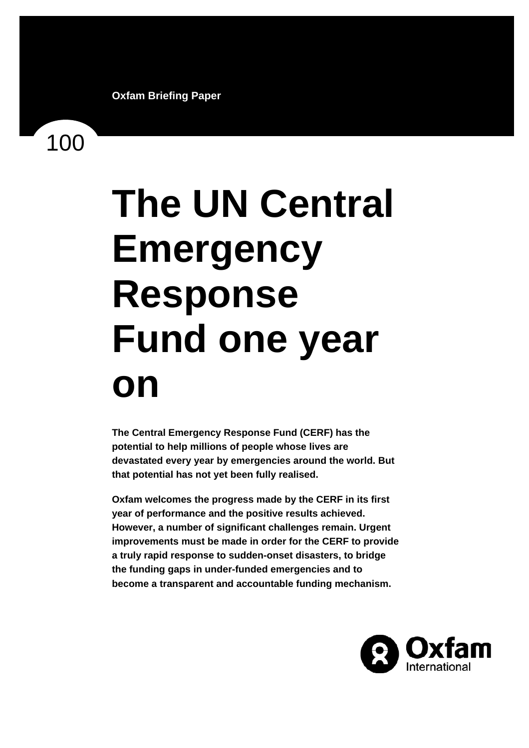100

# **The UN Central Emergency Response Fund one year on**

**The Central Emergency Response Fund (CERF) has the potential to help millions of people whose lives are devastated every year by emergencies around the world. But that potential has not yet been fully realised.** 

**Oxfam welcomes the progress made by the CERF in its first year of performance and the positive results achieved. However, a number of significant challenges remain. Urgent improvements must be made in order for the CERF to provide a truly rapid response to sudden-onset disasters, to bridge the funding gaps in under-funded emergencies and to become a transparent and accountable funding mechanism.** 

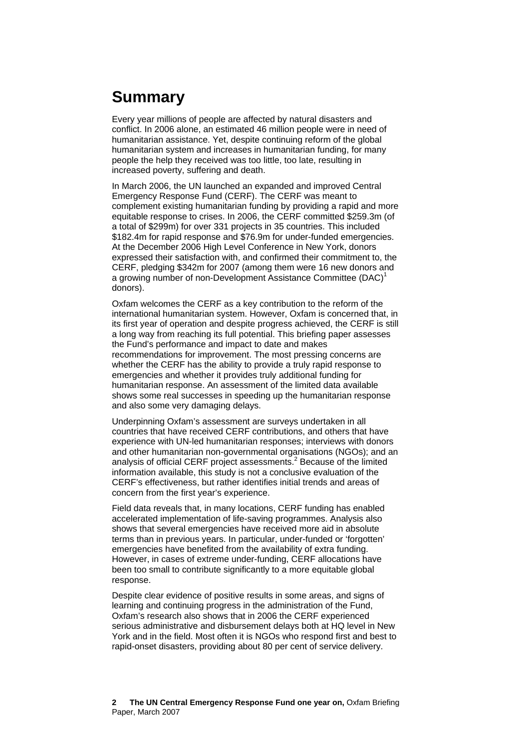# **Summary**

Every year millions of people are affected by natural disasters and conflict. In 2006 alone, an estimated 46 million people were in need of humanitarian assistance. Yet, despite continuing reform of the global humanitarian system and increases in humanitarian funding, for many people the help they received was too little, too late, resulting in increased poverty, suffering and death.

In March 2006, the UN launched an expanded and improved Central Emergency Response Fund (CERF). The CERF was meant to complement existing humanitarian funding by providing a rapid and more equitable response to crises. In 2006, the CERF committed \$259.3m (of a total of \$299m) for over 331 projects in 35 countries. This included \$182.4m for rapid response and \$76.9m for under-funded emergencies. At the December 2006 High Level Conference in New York, donors expressed their satisfaction with, and confirmed their commitment to, the CERF, pledging \$342m for 2007 (among them were 16 new donors and a growing number of non-Development Assistance Committee (DAC)<sup>[1](#page-29-0)</sup> donors).

Oxfam welcomes the CERF as a key contribution to the reform of the international humanitarian system. However, Oxfam is concerned that, in its first year of operation and despite progress achieved, the CERF is still a long way from reaching its full potential. This briefing paper assesses the Fund's performance and impact to date and makes recommendations for improvement. The most pressing concerns are whether the CERF has the ability to provide a truly rapid response to emergencies and whether it provides truly additional funding for humanitarian response. An assessment of the limited data available shows some real successes in speeding up the humanitarian response and also some very damaging delays.

Underpinning Oxfam's assessment are surveys undertaken in all countries that have received CERF contributions, and others that have experience with UN-led humanitarian responses; interviews with donors and other humanitarian non-governmental organisations (NGOs); and an analysis of official CERF project assessments.<sup>[2](#page-29-1)</sup> Because of the limited information available, this study is not a conclusive evaluation of the CERF's effectiveness, but rather identifies initial trends and areas of concern from the first year's experience.

Field data reveals that, in many locations, CERF funding has enabled accelerated implementation of life-saving programmes. Analysis also shows that several emergencies have received more aid in absolute terms than in previous years. In particular, under-funded or 'forgotten' emergencies have benefited from the availability of extra funding. However, in cases of extreme under-funding, CERF allocations have been too small to contribute significantly to a more equitable global response.

Despite clear evidence of positive results in some areas, and signs of learning and continuing progress in the administration of the Fund, Oxfam's research also shows that in 2006 the CERF experienced serious administrative and disbursement delays both at HQ level in New York and in the field. Most often it is NGOs who respond first and best to rapid-onset disasters, providing about 80 per cent of service delivery.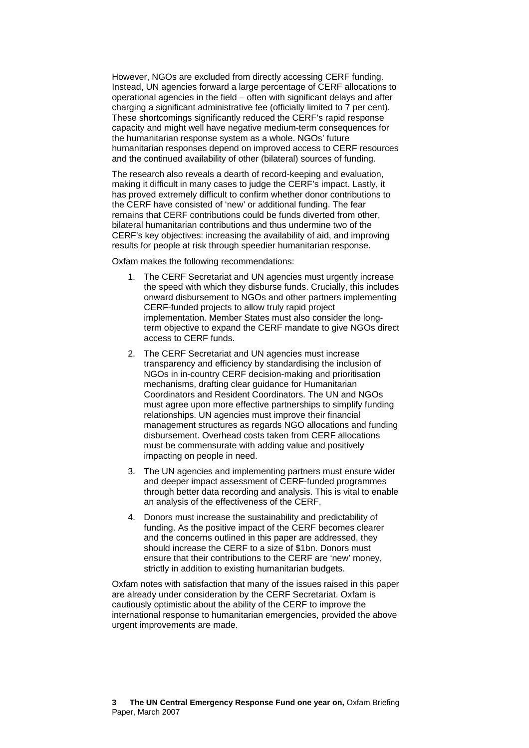However, NGOs are excluded from directly accessing CERF funding. Instead, UN agencies forward a large percentage of CERF allocations to operational agencies in the field – often with significant delays and after charging a significant administrative fee (officially limited to 7 per cent). These shortcomings significantly reduced the CERF's rapid response capacity and might well have negative medium-term consequences for the humanitarian response system as a whole. NGOs' future humanitarian responses depend on improved access to CERF resources and the continued availability of other (bilateral) sources of funding.

The research also reveals a dearth of record-keeping and evaluation, making it difficult in many cases to judge the CERF's impact. Lastly, it has proved extremely difficult to confirm whether donor contributions to the CERF have consisted of 'new' or additional funding. The fear remains that CERF contributions could be funds diverted from other, bilateral humanitarian contributions and thus undermine two of the CERF's key objectives: increasing the availability of aid, and improving results for people at risk through speedier humanitarian response.

Oxfam makes the following recommendations:

- 1. The CERF Secretariat and UN agencies must urgently increase the speed with which they disburse funds. Crucially, this includes onward disbursement to NGOs and other partners implementing CERF-funded projects to allow truly rapid project implementation. Member States must also consider the longterm objective to expand the CERF mandate to give NGOs direct access to CERF funds.
- 2. The CERF Secretariat and UN agencies must increase transparency and efficiency by standardising the inclusion of NGOs in in-country CERF decision-making and prioritisation mechanisms, drafting clear guidance for Humanitarian Coordinators and Resident Coordinators. The UN and NGOs must agree upon more effective partnerships to simplify funding relationships. UN agencies must improve their financial management structures as regards NGO allocations and funding disbursement. Overhead costs taken from CERF allocations must be commensurate with adding value and positively impacting on people in need.
- 3. The UN agencies and implementing partners must ensure wider and deeper impact assessment of CERF-funded programmes through better data recording and analysis. This is vital to enable an analysis of the effectiveness of the CERF.
- 4. Donors must increase the sustainability and predictability of funding. As the positive impact of the CERF becomes clearer and the concerns outlined in this paper are addressed, they should increase the CERF to a size of \$1bn. Donors must ensure that their contributions to the CERF are 'new' money, strictly in addition to existing humanitarian budgets.

Oxfam notes with satisfaction that many of the issues raised in this paper are already under consideration by the CERF Secretariat. Oxfam is cautiously optimistic about the ability of the CERF to improve the international response to humanitarian emergencies, provided the above urgent improvements are made.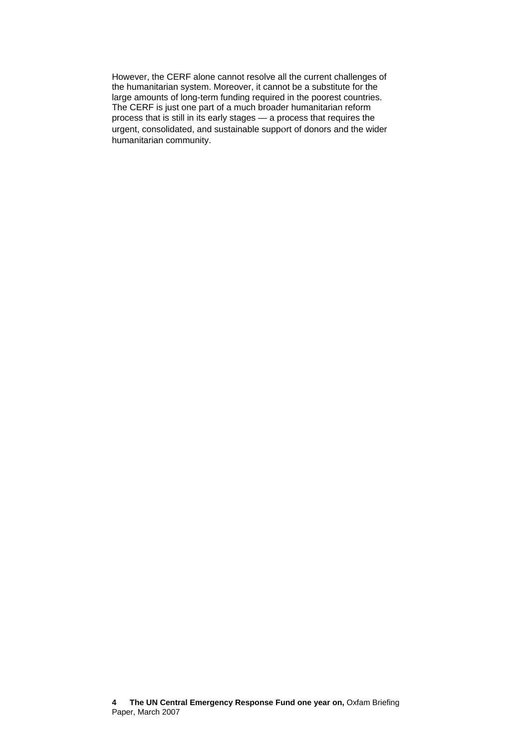However, the CERF alone cannot resolve all the current challenges of the humanitarian system. Moreover, it cannot be a substitute for the large amounts of long-term funding required in the poorest countries. The CERF is just one part of a much broader humanitarian reform process that is still in its early stages — a process that requires the urgent, consolidated, and sustainable support of donors and the wider humanitarian community.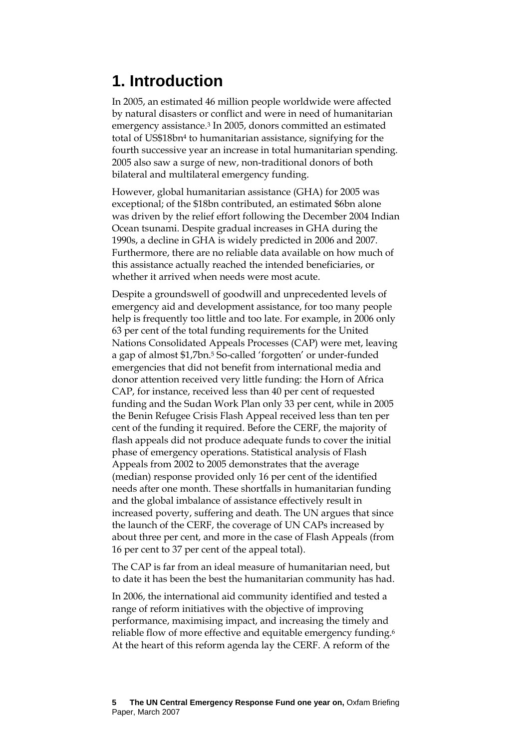# **1. Introduction**

In 2005, an estimated 46 million people worldwide were affected by natural disasters or conflict and were in need of humanitarian emergency assistance[.3](#page-29-2) In 2005, donors committed an estimated total of US\$18b[n4](#page-29-3) to humanitarian assistance, signifying for the fourth successive year an increase in total humanitarian spending. 2005 also saw a surge of new, non-traditional donors of both bilateral and multilateral emergency funding.

However, global humanitarian assistance (GHA) for 2005 was exceptional; of the \$18bn contributed, an estimated \$6bn alone was driven by the relief effort following the December 2004 Indian Ocean tsunami. Despite gradual increases in GHA during the 1990s, a decline in GHA is widely predicted in 2006 and 2007. Furthermore, there are no reliable data available on how much of this assistance actually reached the intended beneficiaries, or whether it arrived when needs were most acute.

Despite a groundswell of goodwill and unprecedented levels of emergency aid and development assistance, for too many people help is frequently too little and too late. For example, in 2006 only 63 per cent of the total funding requirements for the United Nations Consolidated Appeals Processes (CAP) were met, leaving a gap of almost \$1,7bn.[5 S](#page-29-4)o-called 'forgotten' or under-funded emergencies that did not benefit from international media and donor attention received very little funding: the Horn of Africa CAP, for instance, received less than 40 per cent of requested funding and the Sudan Work Plan only 33 per cent, while in 2005 the Benin Refugee Crisis Flash Appeal received less than ten per cent of the funding it required. Before the CERF, the majority of flash appeals did not produce adequate funds to cover the initial phase of emergency operations. Statistical analysis of Flash Appeals from 2002 to 2005 demonstrates that the average (median) response provided only 16 per cent of the identified needs after one month. These shortfalls in humanitarian funding and the global imbalance of assistance effectively result in increased poverty, suffering and death. The UN argues that since the launch of the CERF, the coverage of UN CAPs increased by about three per cent, and more in the case of Flash Appeals (from 16 per cent to 37 per cent of the appeal total).

The CAP is far from an ideal measure of humanitarian need, but to date it has been the best the humanitarian community has had.

In 2006, the international aid community identified and tested a range of reform initiatives with the objective of improving performance, maximising impact, and increasing the timely and reliable flow of more effective and equitable emergency funding.[6](#page-29-5) At the heart of this reform agenda lay the CERF. A reform of the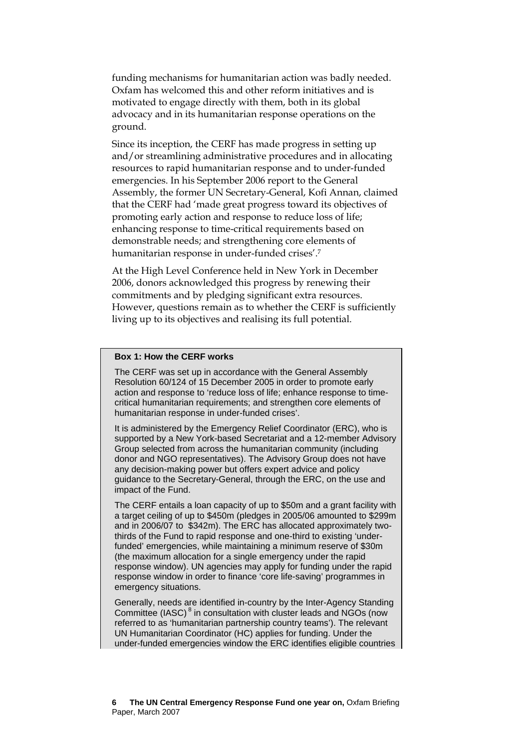funding mechanisms for humanitarian action was badly needed. Oxfam has welcomed this and other reform initiatives and is motivated to engage directly with them, both in its global advocacy and in its humanitarian response operations on the ground.

Since its inception, the CERF has made progress in setting up and/or streamlining administrative procedures and in allocating resources to rapid humanitarian response and to under-funded emergencies. In his September 2006 report to the General Assembly, the former UN Secretary-General, Kofi Annan, claimed that the CERF had 'made great progress toward its objectives of promoting early action and response to reduce loss of life; enhancing response to time-critical requirements based on demonstrable needs; and strengthening core elements of humanitarian response in under-funded crises'.[7](#page-29-6) 

At the High Level Conference held in New York in December 2006, donors acknowledged this progress by renewing their commitments and by pledging significant extra resources. However, questions remain as to whether the CERF is sufficiently living up to its objectives and realising its full potential.

#### **Box 1: How the CERF works**

The CERF was set up in accordance with the General Assembly Resolution 60/124 of 15 December 2005 in order to promote early action and response to 'reduce loss of life; enhance response to timecritical humanitarian requirements; and strengthen core elements of humanitarian response in under-funded crises'.

It is administered by the Emergency Relief Coordinator (ERC), who is supported by a New York-based Secretariat and a 12-member Advisory Group selected from across the humanitarian community (including donor and NGO representatives). The Advisory Group does not have any decision-making power but offers expert advice and policy guidance to the Secretary-General, through the ERC, on the use and impact of the Fund.

The CERF entails a loan capacity of up to \$50m and a grant facility with a target ceiling of up to \$450m (pledges in 2005/06 amounted to \$299m and in 2006/07 to \$342m). The ERC has allocated approximately twothirds of the Fund to rapid response and one-third to existing 'underfunded' emergencies, while maintaining a minimum reserve of \$30m (the maximum allocation for a single emergency under the rapid response window). UN agencies may apply for funding under the rapid response window in order to finance 'core life-saving' programmes in emergency situations.

Generally, needs are identified in-country by the Inter-Agency Standing Committee (IASC)<sup>8</sup> in consultation with cluster leads and NGOs (now referred to as 'humanitarian partnership country teams'). The relevant UN Humanitarian Coordinator (HC) applies for funding. Under the under-funded emergencies window the ERC identifies eligible countries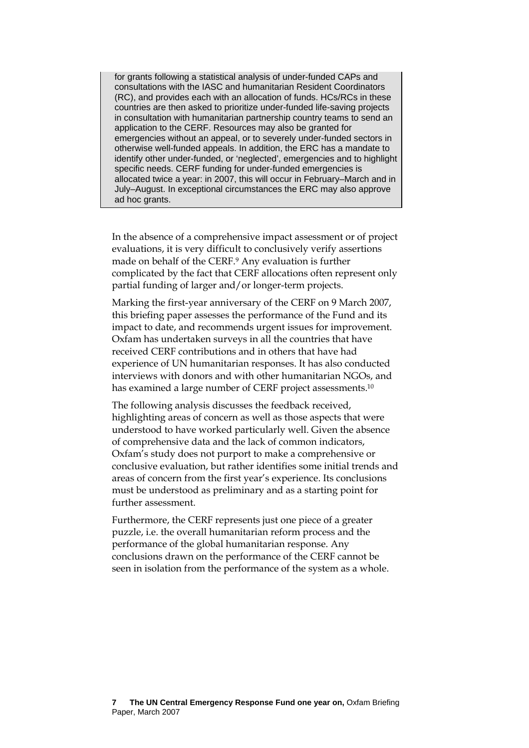for grants following a statistical analysis of under-funded CAPs and consultations with the IASC and humanitarian Resident Coordinators (RC), and provides each with an allocation of funds. HCs/RCs in these countries are then asked to prioritize under-funded life-saving projects in consultation with humanitarian partnership country teams to send an application to the CERF. Resources may also be granted for emergencies without an appeal, or to severely under-funded sectors in otherwise well-funded appeals. In addition, the ERC has a mandate to identify other under-funded, or 'neglected', emergencies and to highlight specific needs. CERF funding for under-funded emergencies is allocated twice a year: in 2007, this will occur in February–March and in July–August. In exceptional circumstances the ERC may also approve ad hoc grants.

In the absence of a comprehensive impact assessment or of project evaluations, it is very difficult to conclusively verify assertions made on behalf of the CERF.[9](#page-29-8) Any evaluation is further complicated by the fact that CERF allocations often represent only partial funding of larger and/or longer-term projects.

Marking the first-year anniversary of the CERF on 9 March 2007, this briefing paper assesses the performance of the Fund and its impact to date, and recommends urgent issues for improvement. Oxfam has undertaken surveys in all the countries that have received CERF contributions and in others that have had experience of UN humanitarian responses. It has also conducted interviews with donors and with other humanitarian NGOs, and has examined a large number of CERF project assessments.<sup>10</sup>

The following analysis discusses the feedback received, highlighting areas of concern as well as those aspects that were understood to have worked particularly well. Given the absence of comprehensive data and the lack of common indicators, Oxfam's study does not purport to make a comprehensive or conclusive evaluation, but rather identifies some initial trends and areas of concern from the first year's experience. Its conclusions must be understood as preliminary and as a starting point for further assessment.

Furthermore, the CERF represents just one piece of a greater puzzle, i.e. the overall humanitarian reform process and the performance of the global humanitarian response. Any conclusions drawn on the performance of the CERF cannot be seen in isolation from the performance of the system as a whole.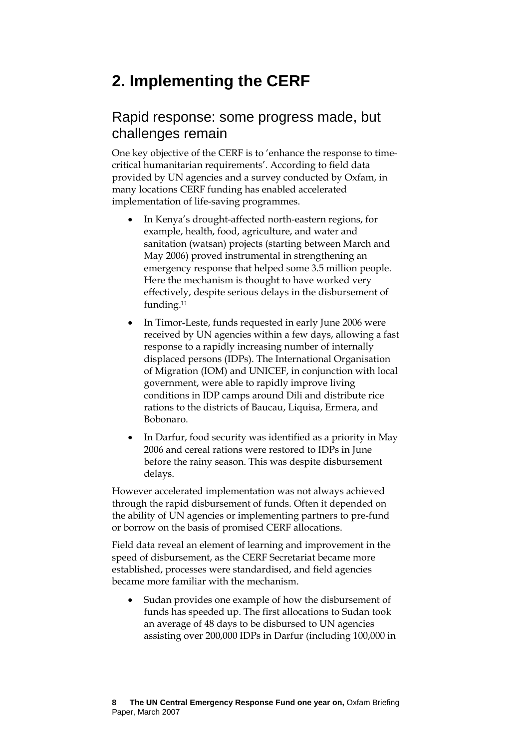# **2. Implementing the CERF**

## Rapid response: some progress made, but challenges remain

One key objective of the CERF is to 'enhance the response to timecritical humanitarian requirements'. According to field data provided by UN agencies and a survey conducted by Oxfam, in many locations CERF funding has enabled accelerated implementation of life-saving programmes.

- In Kenya's drought-affected north-eastern regions, for example, health, food, agriculture, and water and sanitation (watsan) projects (starting between March and May 2006) proved instrumental in strengthening an emergency response that helped some 3.5 million people. Here the mechanism is thought to have worked very effectively, despite serious delays in the disbursement of funding.[11](#page-29-10)
- In Timor-Leste, funds requested in early June 2006 were received by UN agencies within a few days, allowing a fast response to a rapidly increasing number of internally displaced persons (IDPs). The International Organisation of Migration (IOM) and UNICEF, in conjunction with local government, were able to rapidly improve living conditions in IDP camps around Dili and distribute rice rations to the districts of Baucau, Liquisa, Ermera, and Bobonaro.
- In Darfur, food security was identified as a priority in May 2006 and cereal rations were restored to IDPs in June before the rainy season. This was despite disbursement delays.

However accelerated implementation was not always achieved through the rapid disbursement of funds. Often it depended on the ability of UN agencies or implementing partners to pre-fund or borrow on the basis of promised CERF allocations.

Field data reveal an element of learning and improvement in the speed of disbursement, as the CERF Secretariat became more established, processes were standardised, and field agencies became more familiar with the mechanism.

Sudan provides one example of how the disbursement of funds has speeded up. The first allocations to Sudan took an average of 48 days to be disbursed to UN agencies assisting over 200,000 IDPs in Darfur (including 100,000 in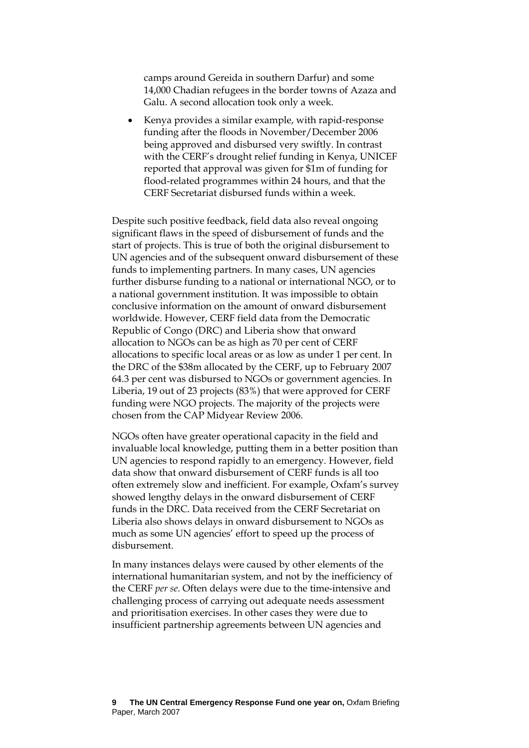camps around Gereida in southern Darfur) and some 14,000 Chadian refugees in the border towns of Azaza and Galu. A second allocation took only a week.

• Kenya provides a similar example, with rapid-response funding after the floods in November/December 2006 being approved and disbursed very swiftly. In contrast with the CERF's drought relief funding in Kenya, UNICEF reported that approval was given for \$1m of funding for flood-related programmes within 24 hours, and that the CERF Secretariat disbursed funds within a week.

Despite such positive feedback, field data also reveal ongoing significant flaws in the speed of disbursement of funds and the start of projects. This is true of both the original disbursement to UN agencies and of the subsequent onward disbursement of these funds to implementing partners. In many cases, UN agencies further disburse funding to a national or international NGO, or to a national government institution. It was impossible to obtain conclusive information on the amount of onward disbursement worldwide. However, CERF field data from the Democratic Republic of Congo (DRC) and Liberia show that onward allocation to NGOs can be as high as 70 per cent of CERF allocations to specific local areas or as low as under 1 per cent. In the DRC of the \$38m allocated by the CERF, up to February 2007 64.3 per cent was disbursed to NGOs or government agencies. In Liberia, 19 out of 23 projects (83%) that were approved for CERF funding were NGO projects. The majority of the projects were chosen from the CAP Midyear Review 2006.

NGOs often have greater operational capacity in the field and invaluable local knowledge, putting them in a better position than UN agencies to respond rapidly to an emergency. However, field data show that onward disbursement of CERF funds is all too often extremely slow and inefficient. For example, Oxfam's survey showed lengthy delays in the onward disbursement of CERF funds in the DRC. Data received from the CERF Secretariat on Liberia also shows delays in onward disbursement to NGOs as much as some UN agencies' effort to speed up the process of disbursement.

In many instances delays were caused by other elements of the international humanitarian system, and not by the inefficiency of the CERF *per se*. Often delays were due to the time-intensive and challenging process of carrying out adequate needs assessment and prioritisation exercises. In other cases they were due to insufficient partnership agreements between UN agencies and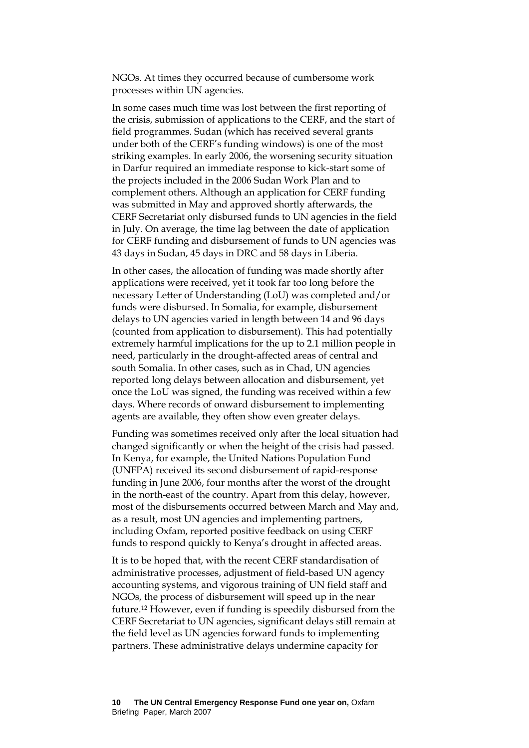NGOs. At times they occurred because of cumbersome work processes within UN agencies.

In some cases much time was lost between the first reporting of the crisis, submission of applications to the CERF, and the start of field programmes. Sudan (which has received several grants under both of the CERF's funding windows) is one of the most striking examples. In early 2006, the worsening security situation in Darfur required an immediate response to kick-start some of the projects included in the 2006 Sudan Work Plan and to complement others. Although an application for CERF funding was submitted in May and approved shortly afterwards, the CERF Secretariat only disbursed funds to UN agencies in the field in July. On average, the time lag between the date of application for CERF funding and disbursement of funds to UN agencies was 43 days in Sudan, 45 days in DRC and 58 days in Liberia.

In other cases, the allocation of funding was made shortly after applications were received, yet it took far too long before the necessary Letter of Understanding (LoU) was completed and/or funds were disbursed. In Somalia, for example, disbursement delays to UN agencies varied in length between 14 and 96 days (counted from application to disbursement). This had potentially extremely harmful implications for the up to 2.1 million people in need, particularly in the drought-affected areas of central and south Somalia. In other cases, such as in Chad, UN agencies reported long delays between allocation and disbursement, yet once the LoU was signed, the funding was received within a few days. Where records of onward disbursement to implementing agents are available, they often show even greater delays.

Funding was sometimes received only after the local situation had changed significantly or when the height of the crisis had passed. In Kenya, for example, the United Nations Population Fund (UNFPA) received its second disbursement of rapid-response funding in June 2006, four months after the worst of the drought in the north-east of the country. Apart from this delay, however, most of the disbursements occurred between March and May and, as a result, most UN agencies and implementing partners, including Oxfam, reported positive feedback on using CERF funds to respond quickly to Kenya's drought in affected areas.

It is to be hoped that, with the recent CERF standardisation of administrative processes, adjustment of field-based UN agency accounting systems, and vigorous training of UN field staff and NGOs, the process of disbursement will speed up in the near future.[12 H](#page-29-11)owever, even if funding is speedily disbursed from the CERF Secretariat to UN agencies, significant delays still remain at the field level as UN agencies forward funds to implementing partners. These administrative delays undermine capacity for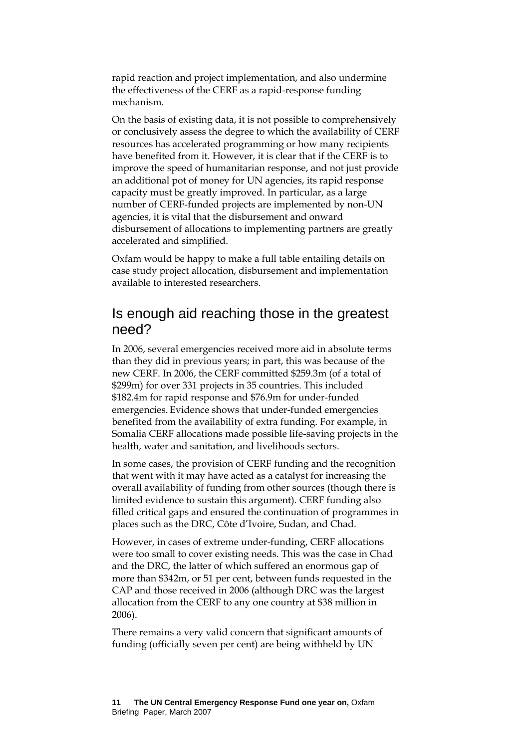rapid reaction and project implementation, and also undermine the effectiveness of the CERF as a rapid-response funding mechanism.

On the basis of existing data, it is not possible to comprehensively or conclusively assess the degree to which the availability of CERF resources has accelerated programming or how many recipients have benefited from it. However, it is clear that if the CERF is to improve the speed of humanitarian response, and not just provide an additional pot of money for UN agencies, its rapid response capacity must be greatly improved. In particular, as a large number of CERF-funded projects are implemented by non-UN agencies, it is vital that the disbursement and onward disbursement of allocations to implementing partners are greatly accelerated and simplified.

Oxfam would be happy to make a full table entailing details on case study project allocation, disbursement and implementation available to interested researchers.

## Is enough aid reaching those in the greatest need?

In 2006, several emergencies received more aid in absolute terms than they did in previous years; in part, this was because of the new CERF. In 2006, the CERF committed \$259.3m (of a total of \$299m) for over 331 projects in 35 countries. This included \$182.4m for rapid response and \$76.9m for under-funded emergencies. Evidence shows that under-funded emergencies benefited from the availability of extra funding. For example, in Somalia CERF allocations made possible life-saving projects in the health, water and sanitation, and livelihoods sectors.

In some cases, the provision of CERF funding and the recognition that went with it may have acted as a catalyst for increasing the overall availability of funding from other sources (though there is limited evidence to sustain this argument). CERF funding also filled critical gaps and ensured the continuation of programmes in places such as the DRC, Côte d'Ivoire, Sudan, and Chad.

However, in cases of extreme under-funding, CERF allocations were too small to cover existing needs. This was the case in Chad and the DRC, the latter of which suffered an enormous gap of more than \$342m, or 51 per cent, between funds requested in the CAP and those received in 2006 (although DRC was the largest allocation from the CERF to any one country at \$38 million in 2006).

There remains a very valid concern that significant amounts of funding (officially seven per cent) are being withheld by UN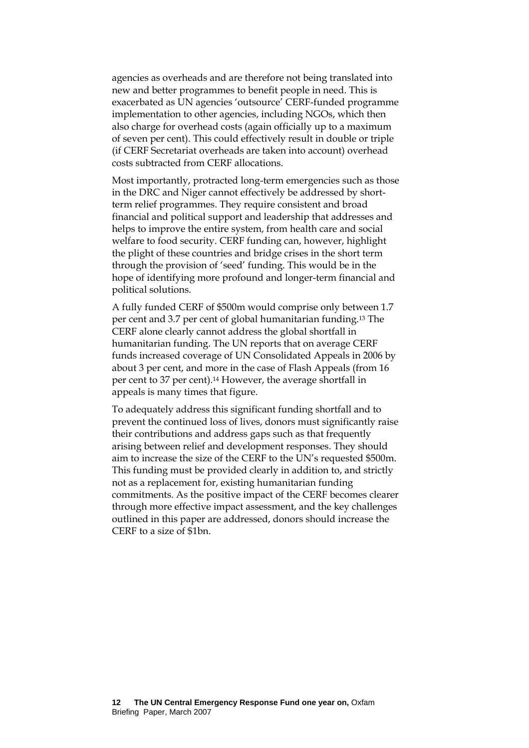agencies as overheads and are therefore not being translated into new and better programmes to benefit people in need. This is exacerbated as UN agencies 'outsource' CERF-funded programme implementation to other agencies, including NGOs, which then also charge for overhead costs (again officially up to a maximum of seven per cent). This could effectively result in double or triple (if CERF Secretariat overheads are taken into account) overhead costs subtracted from CERF allocations.

Most importantly, protracted long-term emergencies such as those in the DRC and Niger cannot effectively be addressed by shortterm relief programmes. They require consistent and broad financial and political support and leadership that addresses and helps to improve the entire system, from health care and social welfare to food security. CERF funding can, however, highlight the plight of these countries and bridge crises in the short term through the provision of 'seed' funding. This would be in the hope of identifying more profound and longer-term financial and political solutions.

A fully funded CERF of \$500m would comprise only between 1.7 per cent and 3.7 per cent of global humanitarian funding.[13 T](#page-29-12)he CERF alone clearly cannot address the global shortfall in humanitarian funding. The UN reports that on average CERF funds increased coverage of UN Consolidated Appeals in 2006 by about 3 per cent, and more in the case of Flash Appeals (from 16 per cent to 37 per cent)[.14](#page-29-13) However, the average shortfall in appeals is many times that figure.

To adequately address this significant funding shortfall and to prevent the continued loss of lives, donors must significantly raise their contributions and address gaps such as that frequently arising between relief and development responses. They should aim to increase the size of the CERF to the UN's requested \$500m. This funding must be provided clearly in addition to, and strictly not as a replacement for, existing humanitarian funding commitments. As the positive impact of the CERF becomes clearer through more effective impact assessment, and the key challenges outlined in this paper are addressed, donors should increase the CERF to a size of \$1bn.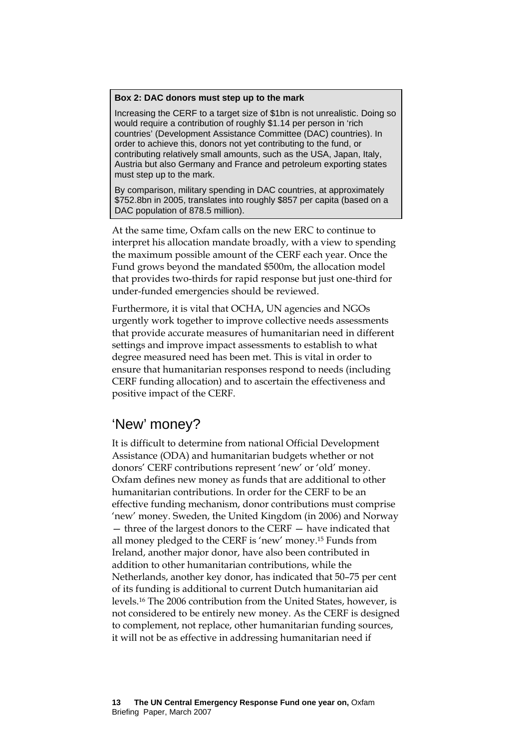#### **Box 2: DAC donors must step up to the mark**

Increasing the CERF to a target size of \$1bn is not unrealistic. Doing so would require a contribution of roughly \$1.14 per person in 'rich countries' (Development Assistance Committee (DAC) countries). In order to achieve this, donors not yet contributing to the fund, or contributing relatively small amounts, such as the USA, Japan, Italy, Austria but also Germany and France and petroleum exporting states must step up to the mark.

By comparison, military spending in DAC countries, at approximately \$752.8bn in 2005, translates into roughly \$857 per capita (based on a DAC population of 878.5 million).

At the same time, Oxfam calls on the new ERC to continue to interpret his allocation mandate broadly, with a view to spending the maximum possible amount of the CERF each year. Once the Fund grows beyond the mandated \$500m, the allocation model that provides two-thirds for rapid response but just one-third for under-funded emergencies should be reviewed.

Furthermore, it is vital that OCHA, UN agencies and NGOs urgently work together to improve collective needs assessments that provide accurate measures of humanitarian need in different settings and improve impact assessments to establish to what degree measured need has been met. This is vital in order to ensure that humanitarian responses respond to needs (including CERF funding allocation) and to ascertain the effectiveness and positive impact of the CERF.

## 'New' money?

It is difficult to determine from national Official Development Assistance (ODA) and humanitarian budgets whether or not donors' CERF contributions represent 'new' or 'old' money. Oxfam defines new money as funds that are additional to other humanitarian contributions. In order for the CERF to be an effective funding mechanism, donor contributions must comprise 'new' money. Sweden, the United Kingdom (in 2006) and Norway — three of the largest donors to the CERF — have indicated that all money pledged to the CERF is 'new' money[.15 F](#page-29-14)unds from Ireland, another major donor, have also been contributed in addition to other humanitarian contributions, while the Netherlands, another key donor, has indicated that 50–75 per cent of its funding is additional to current Dutch humanitarian aid levels.[16](#page-29-15) The 2006 contribution from the United States, however, is not considered to be entirely new money. As the CERF is designed to complement, not replace, other humanitarian funding sources, it will not be as effective in addressing humanitarian need if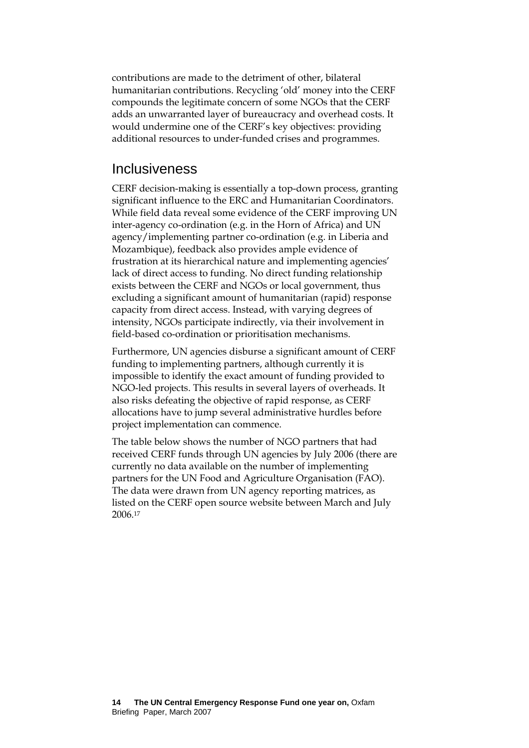contributions are made to the detriment of other, bilateral humanitarian contributions. Recycling 'old' money into the CERF compounds the legitimate concern of some NGOs that the CERF adds an unwarranted layer of bureaucracy and overhead costs. It would undermine one of the CERF's key objectives: providing additional resources to under-funded crises and programmes.

## **Inclusiveness**

CERF decision-making is essentially a top-down process, granting significant influence to the ERC and Humanitarian Coordinators. While field data reveal some evidence of the CERF improving UN inter-agency co-ordination (e.g. in the Horn of Africa) and UN agency/implementing partner co-ordination (e.g. in Liberia and Mozambique), feedback also provides ample evidence of frustration at its hierarchical nature and implementing agencies' lack of direct access to funding. No direct funding relationship exists between the CERF and NGOs or local government, thus excluding a significant amount of humanitarian (rapid) response capacity from direct access. Instead, with varying degrees of intensity, NGOs participate indirectly, via their involvement in field-based co-ordination or prioritisation mechanisms.

Furthermore, UN agencies disburse a significant amount of CERF funding to implementing partners, although currently it is impossible to identify the exact amount of funding provided to NGO-led projects. This results in several layers of overheads. It also risks defeating the objective of rapid response, as CERF allocations have to jump several administrative hurdles before project implementation can commence.

The table below shows the number of NGO partners that had received CERF funds through UN agencies by July 2006 (there are currently no data available on the number of implementing partners for the UN Food and Agriculture Organisation (FAO). The data were drawn from UN agency reporting matrices, as listed on the CERF open source website between March and July 2006.[17](#page-29-16)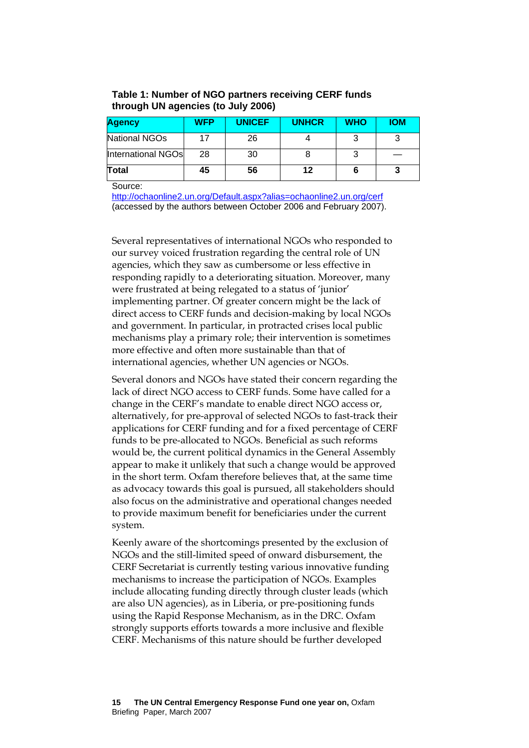| Table 1: Number of NGO partners receiving CERF funds |
|------------------------------------------------------|
| through UN agencies (to July 2006)                   |

| <b>Agency</b>      | <b>WFP</b> | <b>UNICEF</b> | <b>UNHCR</b> | <b>WHO</b> | <b>IOM</b> |
|--------------------|------------|---------------|--------------|------------|------------|
| National NGOs      |            | 26            |              |            |            |
| International NGOs | 28         | 30            |              |            |            |
| Total              | 45         | 56            | 12           |            |            |

Source:

<http://ochaonline2.un.org/Default.aspx?alias=ochaonline2.un.org/cerf> (accessed by the authors between October 2006 and February 2007).

Several representatives of international NGOs who responded to our survey voiced frustration regarding the central role of UN agencies, which they saw as cumbersome or less effective in responding rapidly to a deteriorating situation. Moreover, many were frustrated at being relegated to a status of 'junior' implementing partner. Of greater concern might be the lack of direct access to CERF funds and decision-making by local NGOs and government. In particular, in protracted crises local public mechanisms play a primary role; their intervention is sometimes more effective and often more sustainable than that of international agencies, whether UN agencies or NGOs.

Several donors and NGOs have stated their concern regarding the lack of direct NGO access to CERF funds. Some have called for a change in the CERF's mandate to enable direct NGO access or, alternatively, for pre-approval of selected NGOs to fast-track their applications for CERF funding and for a fixed percentage of CERF funds to be pre-allocated to NGOs. Beneficial as such reforms would be, the current political dynamics in the General Assembly appear to make it unlikely that such a change would be approved in the short term. Oxfam therefore believes that, at the same time as advocacy towards this goal is pursued, all stakeholders should also focus on the administrative and operational changes needed to provide maximum benefit for beneficiaries under the current system.

Keenly aware of the shortcomings presented by the exclusion of NGOs and the still-limited speed of onward disbursement, the CERF Secretariat is currently testing various innovative funding mechanisms to increase the participation of NGOs. Examples include allocating funding directly through cluster leads (which are also UN agencies), as in Liberia, or pre-positioning funds using the Rapid Response Mechanism, as in the DRC. Oxfam strongly supports efforts towards a more inclusive and flexible CERF. Mechanisms of this nature should be further developed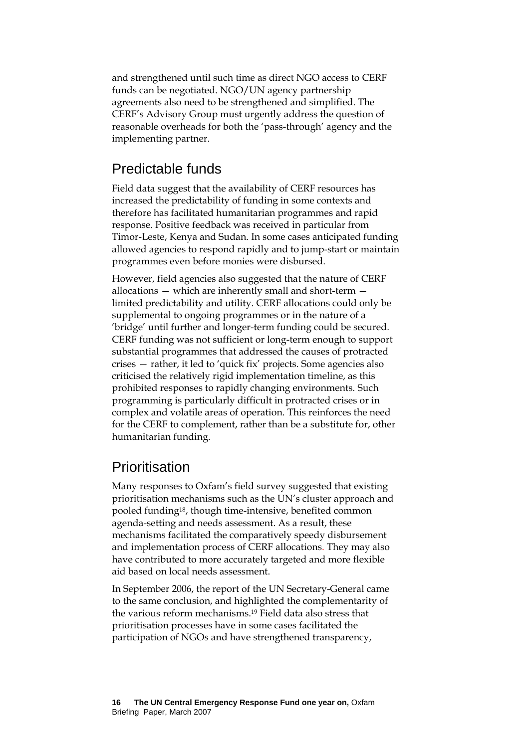and strengthened until such time as direct NGO access to CERF funds can be negotiated. NGO/UN agency partnership agreements also need to be strengthened and simplified. The CERF's Advisory Group must urgently address the question of reasonable overheads for both the 'pass-through' agency and the implementing partner.

## Predictable funds

Field data suggest that the availability of CERF resources has increased the predictability of funding in some contexts and therefore has facilitated humanitarian programmes and rapid response. Positive feedback was received in particular from Timor-Leste, Kenya and Sudan. In some cases anticipated funding allowed agencies to respond rapidly and to jump-start or maintain programmes even before monies were disbursed.

However, field agencies also suggested that the nature of CERF allocations — which are inherently small and short-term limited predictability and utility. CERF allocations could only be supplemental to ongoing programmes or in the nature of a 'bridge' until further and longer-term funding could be secured. CERF funding was not sufficient or long-term enough to support substantial programmes that addressed the causes of protracted crises — rather, it led to 'quick fix' projects. Some agencies also criticised the relatively rigid implementation timeline, as this prohibited responses to rapidly changing environments. Such programming is particularly difficult in protracted crises or in complex and volatile areas of operation. This reinforces the need for the CERF to complement, rather than be a substitute for, other humanitarian funding.

## **Prioritisation**

Many responses to Oxfam's field survey suggested that existing prioritisation mechanisms such as the UN's cluster approach and pooled funding[18,](#page-29-17) though time-intensive, benefited common agenda-setting and needs assessment. As a result, these mechanisms facilitated the comparatively speedy disbursement and implementation process of CERF allocations. They may also have contributed to more accurately targeted and more flexible aid based on local needs assessment.

In September 2006, the report of the UN Secretary-General came to the same conclusion, and highlighted the complementarity of the various reform mechanisms.[19](#page-29-18) Field data also stress that prioritisation processes have in some cases facilitated the participation of NGOs and have strengthened transparency,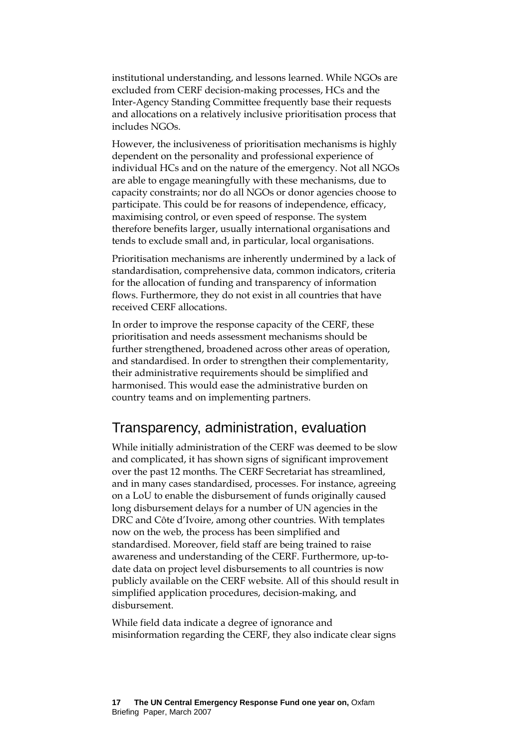institutional understanding, and lessons learned. While NGOs are excluded from CERF decision-making processes, HCs and the Inter-Agency Standing Committee frequently base their requests and allocations on a relatively inclusive prioritisation process that includes NGOs.

However, the inclusiveness of prioritisation mechanisms is highly dependent on the personality and professional experience of individual HCs and on the nature of the emergency. Not all NGOs are able to engage meaningfully with these mechanisms, due to capacity constraints; nor do all NGOs or donor agencies choose to participate. This could be for reasons of independence, efficacy, maximising control, or even speed of response. The system therefore benefits larger, usually international organisations and tends to exclude small and, in particular, local organisations.

Prioritisation mechanisms are inherently undermined by a lack of standardisation, comprehensive data, common indicators, criteria for the allocation of funding and transparency of information flows. Furthermore, they do not exist in all countries that have received CERF allocations.

In order to improve the response capacity of the CERF, these prioritisation and needs assessment mechanisms should be further strengthened, broadened across other areas of operation, and standardised. In order to strengthen their complementarity, their administrative requirements should be simplified and harmonised. This would ease the administrative burden on country teams and on implementing partners.

## Transparency, administration, evaluation

While initially administration of the CERF was deemed to be slow and complicated, it has shown signs of significant improvement over the past 12 months. The CERF Secretariat has streamlined, and in many cases standardised, processes. For instance, agreeing on a LoU to enable the disbursement of funds originally caused long disbursement delays for a number of UN agencies in the DRC and Côte d'Ivoire, among other countries. With templates now on the web, the process has been simplified and standardised. Moreover, field staff are being trained to raise awareness and understanding of the CERF. Furthermore, up-todate data on project level disbursements to all countries is now publicly available on the CERF website. All of this should result in simplified application procedures, decision-making, and disbursement.

While field data indicate a degree of ignorance and misinformation regarding the CERF, they also indicate clear signs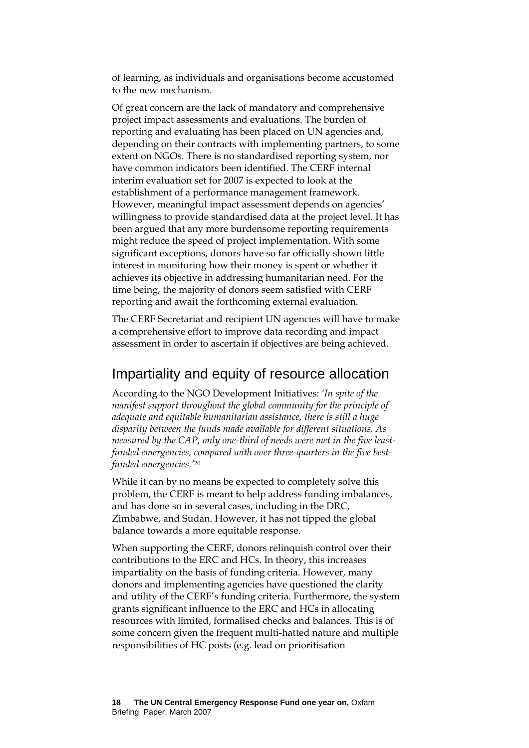of learning, as individuals and organisations become accustomed to the new mechanism.

Of great concern are the lack of mandatory and comprehensive project impact assessments and evaluations. The burden of reporting and evaluating has been placed on UN agencies and, depending on their contracts with implementing partners, to some extent on NGOs. There is no standardised reporting system, nor have common indicators been identified. The CERF internal interim evaluation set for 2007 is expected to look at the establishment of a performance management framework. However, meaningful impact assessment depends on agencies' willingness to provide standardised data at the project level. It has been argued that any more burdensome reporting requirements might reduce the speed of project implementation. With some significant exceptions, donors have so far officially shown little interest in monitoring how their money is spent or whether it achieves its objective in addressing humanitarian need. For the time being, the majority of donors seem satisfied with CERF reporting and await the forthcoming external evaluation.

The CERF Secretariat and recipient UN agencies will have to make a comprehensive effort to improve data recording and impact assessment in order to ascertain if objectives are being achieved.

## Impartiality and equity of resource allocation

According to the NGO Development Initiatives: *'In spite of the manifest support throughout the global community for the principle of adequate and equitable humanitarian assistance, there is still a huge disparity between the funds made available for different situations. As measured by the CAP, only one-third of needs were met in the five leastfunded emergencies, compared with over three-quarters in the five bestfunded emergencies.'*[20](#page-29-19) 

While it can by no means be expected to completely solve this problem, the CERF is meant to help address funding imbalances, and has done so in several cases, including in the DRC, Zimbabwe, and Sudan. However, it has not tipped the global balance towards a more equitable response.

When supporting the CERF, donors relinquish control over their contributions to the ERC and HCs. In theory, this increases impartiality on the basis of funding criteria. However, many donors and implementing agencies have questioned the clarity and utility of the CERF's funding criteria. Furthermore, the system grants significant influence to the ERC and HCs in allocating resources with limited, formalised checks and balances. This is of some concern given the frequent multi-hatted nature and multiple responsibilities of HC posts (e.g. lead on prioritisation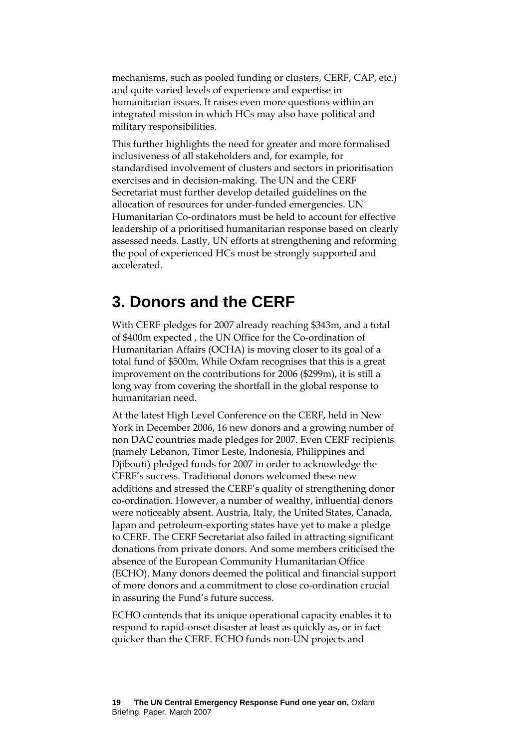mechanisms, such as pooled funding or clusters, CERF, CAP, etc.) and quite varied levels of experience and expertise in humanitarian issues. It raises even more questions within an integrated mission in which HCs may also have political and military responsibilities.

This further highlights the need for greater and more formalised inclusiveness of all stakeholders and, for example, for standardised involvement of clusters and sectors in prioritisation exercises and in decision-making. The UN and the CERF Secretariat must further develop detailed guidelines on the allocation of resources for under-funded emergencies. UN Humanitarian Co-ordinators must be held to account for effective leadership of a prioritised humanitarian response based on clearly assessed needs. Lastly, UN efforts at strengthening and reforming the pool of experienced HCs must be strongly supported and accelerated.

## **3. Donors and the CERF**

With CERF pledges for 2007 already reaching \$343m, and a total of \$400m expected , the UN Office for the Co-ordination of Humanitarian Affairs (OCHA) is moving closer to its goal of a total fund of \$500m. While Oxfam recognises that this is a great improvement on the contributions for 2006 (\$299m), it is still a long way from covering the shortfall in the global response to humanitarian need.

At the latest High Level Conference on the CERF, held in New York in December 2006, 16 new donors and a growing number of non DAC countries made pledges for 2007. Even CERF recipients (namely Lebanon, Timor Leste, Indonesia, Philippines and Djibouti) pledged funds for 2007 in order to acknowledge the CERF's success. Traditional donors welcomed these new additions and stressed the CERF's quality of strengthening donor co-ordination. However, a number of wealthy, influential donors were noticeably absent. Austria, Italy, the United States, Canada, Japan and petroleum-exporting states have yet to make a pledge to CERF. The CERF Secretariat also failed in attracting significant donations from private donors. And some members criticised the absence of the European Community Humanitarian Office (ECHO). Many donors deemed the political and financial support of more donors and a commitment to close co-ordination crucial in assuring the Fund's future success.

ECHO contends that its unique operational capacity enables it to respond to rapid-onset disaster at least as quickly as, or in fact quicker than the CERF. ECHO funds non-UN projects and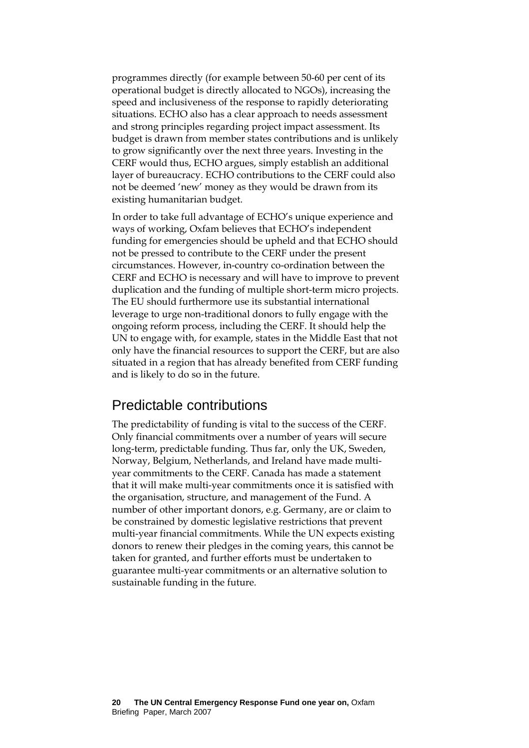programmes directly (for example between 50-60 per cent of its operational budget is directly allocated to NGOs), increasing the speed and inclusiveness of the response to rapidly deteriorating situations. ECHO also has a clear approach to needs assessment and strong principles regarding project impact assessment. Its budget is drawn from member states contributions and is unlikely to grow significantly over the next three years. Investing in the CERF would thus, ECHO argues, simply establish an additional layer of bureaucracy. ECHO contributions to the CERF could also not be deemed 'new' money as they would be drawn from its existing humanitarian budget.

In order to take full advantage of ECHO's unique experience and ways of working, Oxfam believes that ECHO's independent funding for emergencies should be upheld and that ECHO should not be pressed to contribute to the CERF under the present circumstances. However, in-country co-ordination between the CERF and ECHO is necessary and will have to improve to prevent duplication and the funding of multiple short-term micro projects. The EU should furthermore use its substantial international leverage to urge non-traditional donors to fully engage with the ongoing reform process, including the CERF. It should help the UN to engage with, for example, states in the Middle East that not only have the financial resources to support the CERF, but are also situated in a region that has already benefited from CERF funding and is likely to do so in the future.

## Predictable contributions

The predictability of funding is vital to the success of the CERF. Only financial commitments over a number of years will secure long-term, predictable funding. Thus far, only the UK, Sweden, Norway, Belgium, Netherlands, and Ireland have made multiyear commitments to the CERF. Canada has made a statement that it will make multi-year commitments once it is satisfied with the organisation, structure, and management of the Fund. A number of other important donors, e.g. Germany, are or claim to be constrained by domestic legislative restrictions that prevent multi-year financial commitments. While the UN expects existing donors to renew their pledges in the coming years, this cannot be taken for granted, and further efforts must be undertaken to guarantee multi-year commitments or an alternative solution to sustainable funding in the future.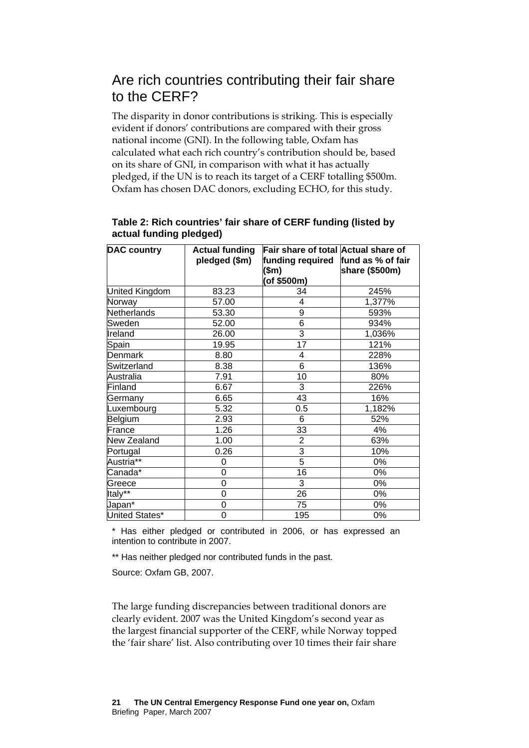## Are rich countries contributing their fair share to the CERF?

The disparity in donor contributions is striking. This is especially evident if donors' contributions are compared with their gross national income (GNI). In the following table, Oxfam has calculated what each rich country's contribution should be, based on its share of GNI, in comparison with what it has actually pledged, if the UN is to reach its target of a CERF totalling \$500m. Oxfam has chosen DAC donors, excluding ECHO, for this study.

| <b>DAC country</b><br>Fair share of total Actual share of<br><b>Actual funding</b> |               |                  |                   |  |  |
|------------------------------------------------------------------------------------|---------------|------------------|-------------------|--|--|
|                                                                                    | pledged (\$m) | funding required | fund as % of fair |  |  |
|                                                                                    |               | (\$m)            |                   |  |  |
|                                                                                    |               | (of \$500m)      | share (\$500m)    |  |  |
|                                                                                    |               |                  |                   |  |  |
| United Kingdom                                                                     | 83.23         | 34               | 245%              |  |  |
| Norway                                                                             | 57.00         | 4                | 1,377%            |  |  |
| Netherlands                                                                        | 53.30         | 9                | 593%              |  |  |
| Sweden                                                                             | 52.00         | 6                | 934%              |  |  |
| Ireland                                                                            | 26.00         | 3                | 1,036%            |  |  |
| Spain                                                                              | 19.95         | 17               | 121%              |  |  |
| <b>Denmark</b>                                                                     | 8.80          | 4                | 228%              |  |  |
| Switzerland                                                                        | 8.38          | $\overline{6}$   | 136%              |  |  |
| Australia                                                                          | 7.91          | 10               | 80%               |  |  |
| Finland                                                                            | 6.67          | 3                | 226%              |  |  |
| Germany                                                                            | 6.65          | 43               | 16%               |  |  |
| Luxembourg                                                                         | 5.32          | 0.5              | 1,182%            |  |  |
| Belgium                                                                            | 2.93          | 6                | 52%               |  |  |
| France                                                                             | 1.26          | 33               | 4%                |  |  |
| New Zealand                                                                        | 1.00          | $\overline{2}$   | 63%               |  |  |
| Portugal                                                                           | 0.26          | $\overline{3}$   | 10%               |  |  |
| Austria**                                                                          | 0             | $\overline{5}$   | 0%                |  |  |
| Canada*                                                                            | 0             | 16               | 0%                |  |  |
| Greece                                                                             | 0             | 3                | 0%                |  |  |
| Italy**                                                                            | 0             | 26               | 0%                |  |  |
| Japan*                                                                             | 0             | 75               | 0%                |  |  |
| United States*                                                                     | 0             | 195              | 0%                |  |  |

## **Table 2: Rich countries' fair share of CERF funding (listed by actual funding pledged)**

\* Has either pledged or contributed in 2006, or has expressed an intention to contribute in 2007.

\*\* Has neither pledged nor contributed funds in the past.

Source: Oxfam GB, 2007.

The large funding discrepancies between traditional donors are clearly evident. 2007 was the United Kingdom's second year as the largest financial supporter of the CERF, while Norway topped the 'fair share' list. Also contributing over 10 times their fair share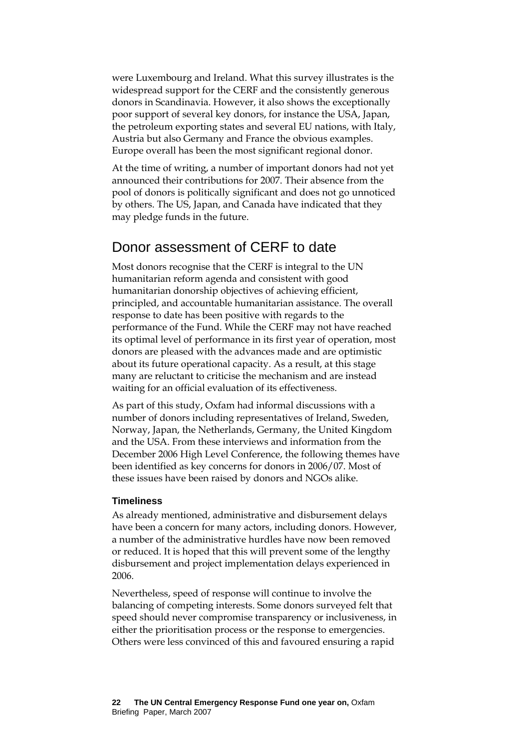were Luxembourg and Ireland. What this survey illustrates is the widespread support for the CERF and the consistently generous donors in Scandinavia. However, it also shows the exceptionally poor support of several key donors, for instance the USA, Japan, the petroleum exporting states and several EU nations, with Italy, Austria but also Germany and France the obvious examples. Europe overall has been the most significant regional donor.

At the time of writing, a number of important donors had not yet announced their contributions for 2007. Their absence from the pool of donors is politically significant and does not go unnoticed by others. The US, Japan, and Canada have indicated that they may pledge funds in the future.

## Donor assessment of CERF to date

Most donors recognise that the CERF is integral to the UN humanitarian reform agenda and consistent with good humanitarian donorship objectives of achieving efficient, principled, and accountable humanitarian assistance. The overall response to date has been positive with regards to the performance of the Fund. While the CERF may not have reached its optimal level of performance in its first year of operation, most donors are pleased with the advances made and are optimistic about its future operational capacity. As a result, at this stage many are reluctant to criticise the mechanism and are instead waiting for an official evaluation of its effectiveness.

As part of this study, Oxfam had informal discussions with a number of donors including representatives of Ireland, Sweden, Norway, Japan, the Netherlands, Germany, the United Kingdom and the USA. From these interviews and information from the December 2006 High Level Conference, the following themes have been identified as key concerns for donors in 2006/07. Most of these issues have been raised by donors and NGOs alike.

## **Timeliness**

As already mentioned, administrative and disbursement delays have been a concern for many actors, including donors. However, a number of the administrative hurdles have now been removed or reduced. It is hoped that this will prevent some of the lengthy disbursement and project implementation delays experienced in 2006.

Nevertheless, speed of response will continue to involve the balancing of competing interests. Some donors surveyed felt that speed should never compromise transparency or inclusiveness, in either the prioritisation process or the response to emergencies. Others were less convinced of this and favoured ensuring a rapid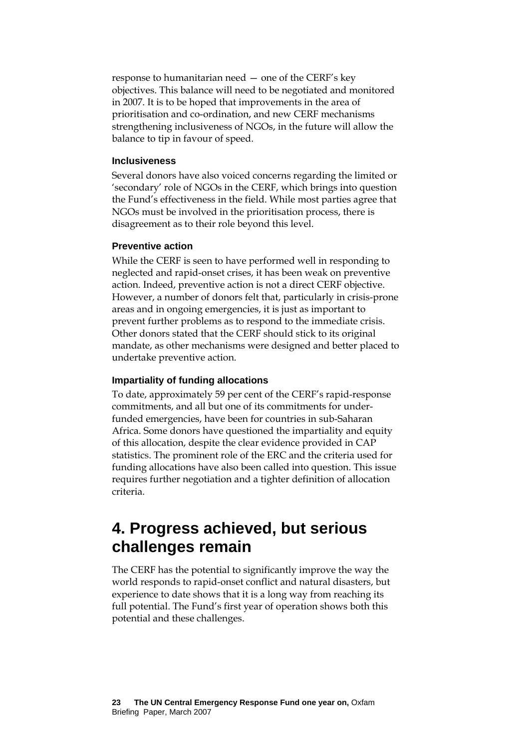response to humanitarian need — one of the CERF's key objectives. This balance will need to be negotiated and monitored in 2007. It is to be hoped that improvements in the area of prioritisation and co-ordination, and new CERF mechanisms strengthening inclusiveness of NGOs, in the future will allow the balance to tip in favour of speed.

#### **Inclusiveness**

Several donors have also voiced concerns regarding the limited or 'secondary' role of NGOs in the CERF, which brings into question the Fund's effectiveness in the field. While most parties agree that NGOs must be involved in the prioritisation process, there is disagreement as to their role beyond this level.

#### **Preventive action**

While the CERF is seen to have performed well in responding to neglected and rapid-onset crises, it has been weak on preventive action. Indeed, preventive action is not a direct CERF objective. However, a number of donors felt that, particularly in crisis-prone areas and in ongoing emergencies, it is just as important to prevent further problems as to respond to the immediate crisis. Other donors stated that the CERF should stick to its original mandate, as other mechanisms were designed and better placed to undertake preventive action.

#### **Impartiality of funding allocations**

To date, approximately 59 per cent of the CERF's rapid-response commitments, and all but one of its commitments for underfunded emergencies, have been for countries in sub-Saharan Africa. Some donors have questioned the impartiality and equity of this allocation, despite the clear evidence provided in CAP statistics. The prominent role of the ERC and the criteria used for funding allocations have also been called into question. This issue requires further negotiation and a tighter definition of allocation criteria.

# **4. Progress achieved, but serious challenges remain**

The CERF has the potential to significantly improve the way the world responds to rapid-onset conflict and natural disasters, but experience to date shows that it is a long way from reaching its full potential. The Fund's first year of operation shows both this potential and these challenges.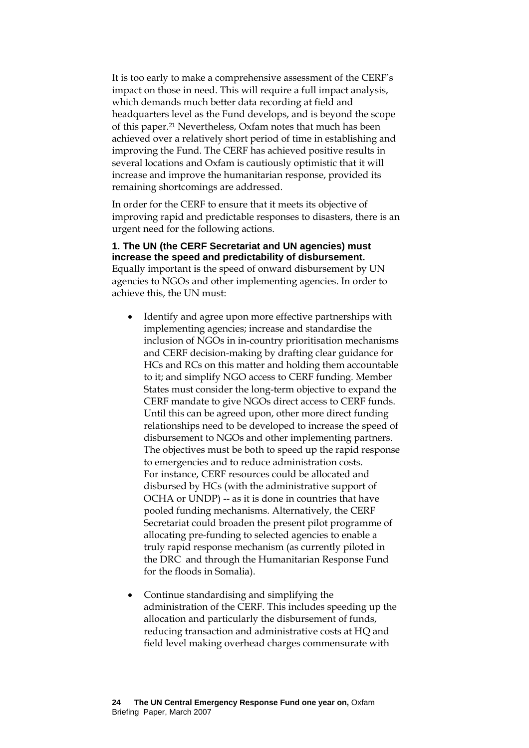It is too early to make a comprehensive assessment of the CERF's impact on those in need. This will require a full impact analysis, which demands much better data recording at field and headquarters level as the Fund develops, and is beyond the scope of this paper.[21 N](#page-29-20)evertheless, Oxfam notes that much has been achieved over a relatively short period of time in establishing and improving the Fund. The CERF has achieved positive results in several locations and Oxfam is cautiously optimistic that it will increase and improve the humanitarian response, provided its remaining shortcomings are addressed.

In order for the CERF to ensure that it meets its objective of improving rapid and predictable responses to disasters, there is an urgent need for the following actions.

#### **1. The UN (the CERF Secretariat and UN agencies) must increase the speed and predictability of disbursement.**

Equally important is the speed of onward disbursement by UN agencies to NGOs and other implementing agencies. In order to achieve this, the UN must:

- Identify and agree upon more effective partnerships with implementing agencies; increase and standardise the inclusion of NGOs in in-country prioritisation mechanisms and CERF decision-making by drafting clear guidance for HCs and RCs on this matter and holding them accountable to it; and simplify NGO access to CERF funding. Member States must consider the long-term objective to expand the CERF mandate to give NGOs direct access to CERF funds. Until this can be agreed upon, other more direct funding relationships need to be developed to increase the speed of disbursement to NGOs and other implementing partners. The objectives must be both to speed up the rapid response to emergencies and to reduce administration costs. For instance, CERF resources could be allocated and disbursed by HCs (with the administrative support of OCHA or UNDP) -- as it is done in countries that have pooled funding mechanisms. Alternatively, the CERF Secretariat could broaden the present pilot programme of allocating pre-funding to selected agencies to enable a truly rapid response mechanism (as currently piloted in the DRC and through the Humanitarian Response Fund for the floods in Somalia).
- Continue standardising and simplifying the administration of the CERF. This includes speeding up the allocation and particularly the disbursement of funds, reducing transaction and administrative costs at HQ and field level making overhead charges commensurate with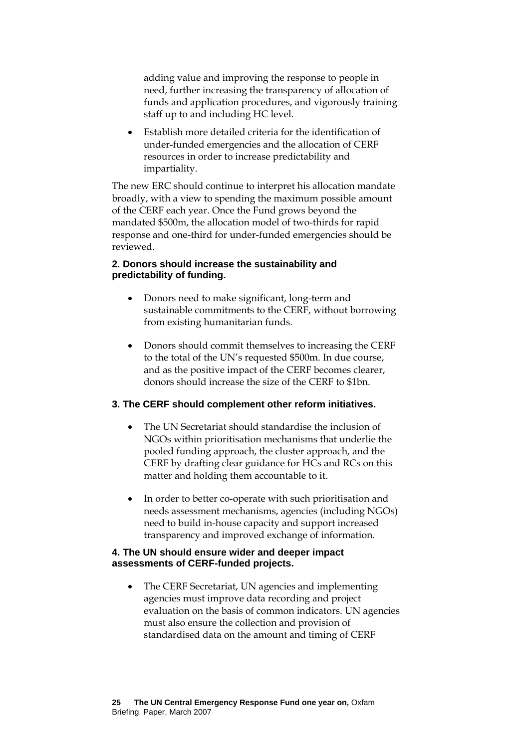adding value and improving the response to people in need, further increasing the transparency of allocation of funds and application procedures, and vigorously training staff up to and including HC level.

• Establish more detailed criteria for the identification of under-funded emergencies and the allocation of CERF resources in order to increase predictability and impartiality.

The new ERC should continue to interpret his allocation mandate broadly, with a view to spending the maximum possible amount of the CERF each year. Once the Fund grows beyond the mandated \$500m, the allocation model of two-thirds for rapid response and one-third for under-funded emergencies should be reviewed.

#### **2. Donors should increase the sustainability and predictability of funding.**

- Donors need to make significant, long-term and sustainable commitments to the CERF, without borrowing from existing humanitarian funds.
- Donors should commit themselves to increasing the CERF to the total of the UN's requested \$500m. In due course, and as the positive impact of the CERF becomes clearer, donors should increase the size of the CERF to \$1bn.

## **3. The CERF should complement other reform initiatives.**

- The UN Secretariat should standardise the inclusion of NGOs within prioritisation mechanisms that underlie the pooled funding approach, the cluster approach, and the CERF by drafting clear guidance for HCs and RCs on this matter and holding them accountable to it.
- In order to better co-operate with such prioritisation and needs assessment mechanisms, agencies (including NGOs) need to build in-house capacity and support increased transparency and improved exchange of information.

#### **4. The UN should ensure wider and deeper impact assessments of CERF-funded projects.**

• The CERF Secretariat, UN agencies and implementing agencies must improve data recording and project evaluation on the basis of common indicators. UN agencies must also ensure the collection and provision of standardised data on the amount and timing of CERF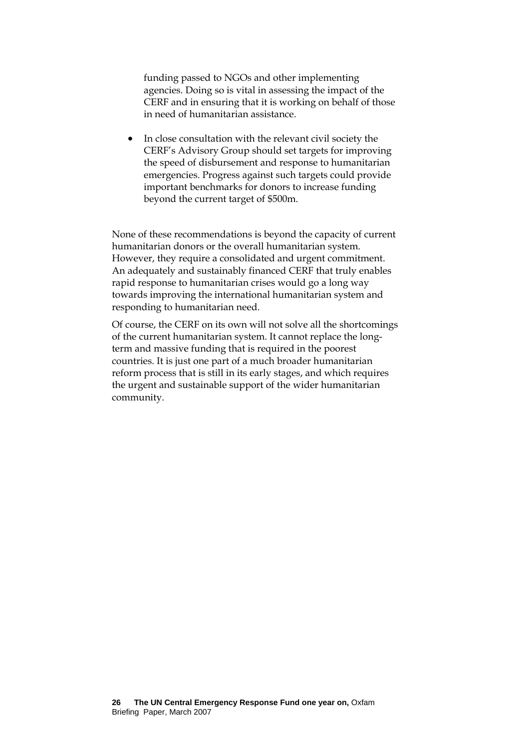funding passed to NGOs and other implementing agencies. Doing so is vital in assessing the impact of the CERF and in ensuring that it is working on behalf of those in need of humanitarian assistance.

• In close consultation with the relevant civil society the CERF's Advisory Group should set targets for improving the speed of disbursement and response to humanitarian emergencies. Progress against such targets could provide important benchmarks for donors to increase funding beyond the current target of \$500m.

None of these recommendations is beyond the capacity of current humanitarian donors or the overall humanitarian system. However, they require a consolidated and urgent commitment. An adequately and sustainably financed CERF that truly enables rapid response to humanitarian crises would go a long way towards improving the international humanitarian system and responding to humanitarian need.

Of course, the CERF on its own will not solve all the shortcomings of the current humanitarian system. It cannot replace the longterm and massive funding that is required in the poorest countries. It is just one part of a much broader humanitarian reform process that is still in its early stages, and which requires the urgent and sustainable support of the wider humanitarian community.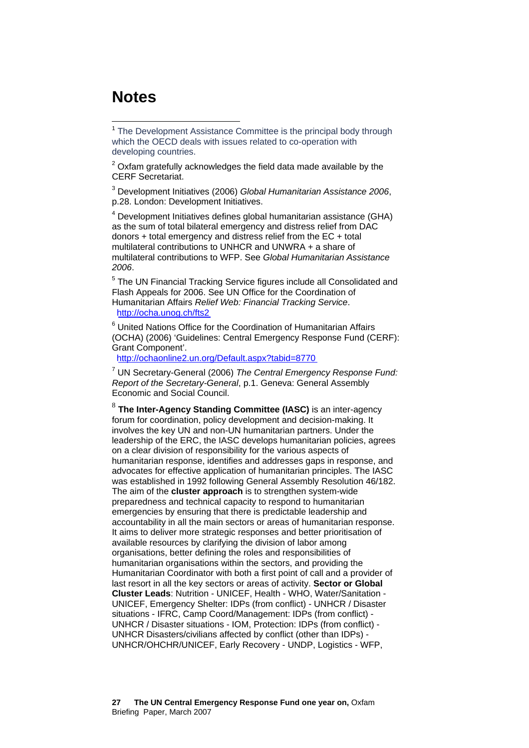# **Notes**

 $\overline{a}$ 

<sup>1</sup> The Development Assistance Committee is the principal body through which the OECD deals with issues related to co-operation with developing countries.

 $2$  Oxfam gratefully acknowledges the field data made available by the CERF Secretariat.

3 Development Initiatives (2006) *Global Humanitarian Assistance 2006*, p.28. London: Development Initiatives.

<sup>4</sup> Development Initiatives defines global humanitarian assistance (GHA) as the sum of total bilateral emergency and distress relief from DAC donors + total emergency and distress relief from the EC + total multilateral contributions to UNHCR and UNWRA + a share of multilateral contributions to WFP. See *Global Humanitarian Assistance 2006*.

<sup>5</sup> The UN Financial Tracking Service figures include all Consolidated and Flash Appeals for 2006. See UN Office for the Coordination of Humanitarian Affairs *Relief Web: Financial Tracking Service*. http://ocha.unog.ch/fts2

<sup>6</sup> United Nations Office for the Coordination of Humanitarian Affairs (OCHA) (2006) 'Guidelines: Central Emergency Response Fund (CERF): Grant Component'.

http://ochaonline2.un.org/Default.aspx?tabid=8770

7 UN Secretary-General (2006) *The Central Emergency Response Fund: Report of the Secretary-General*, p.1. Geneva: General Assembly Economic and Social Council.

<sup>8</sup> **The Inter-Agency Standing Committee (IASC)** is an inter-agency forum for coordination, policy development and decision-making. It involves the key UN and non-UN humanitarian partners. Under the leadership of the ERC, the IASC develops humanitarian policies, agrees on a clear division of responsibility for the various aspects of humanitarian response, identifies and addresses gaps in response, and advocates for effective application of humanitarian principles. The IASC was established in 1992 following General Assembly Resolution 46/182. The aim of the **cluster approach** is to strengthen system-wide preparedness and technical capacity to respond to humanitarian emergencies by ensuring that there is predictable leadership and accountability in all the main sectors or areas of humanitarian response. It aims to deliver more strategic responses and better prioritisation of available resources by clarifying the division of labor among organisations, better defining the roles and responsibilities of humanitarian organisations within the sectors, and providing the Humanitarian Coordinator with both a first point of call and a provider of last resort in all the key sectors or areas of activity. **Sector or Global Cluster Leads**: Nutrition - UNICEF, Health - WHO, Water/Sanitation - UNICEF, Emergency Shelter: IDPs (from conflict) - UNHCR / Disaster situations - IFRC, Camp Coord/Management: IDPs (from conflict) - UNHCR / Disaster situations - IOM, Protection: IDPs (from conflict) - UNHCR Disasters/civilians affected by conflict (other than IDPs) - UNHCR/OHCHR/UNICEF, Early Recovery - UNDP, Logistics - WFP,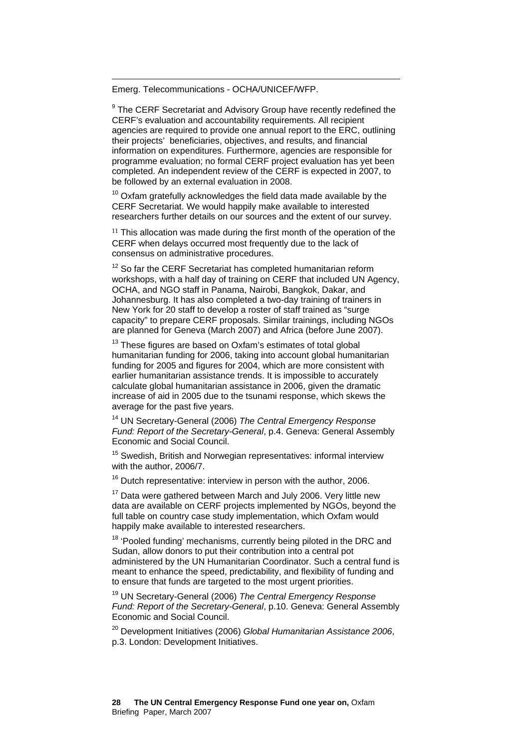Emerg. Telecommunications - OCHA/UNICEF/WFP.

 $\overline{a}$ 

<sup>9</sup> The CERF Secretariat and Advisory Group have recently redefined the CERF's evaluation and accountability requirements. All recipient agencies are required to provide one annual report to the ERC, outlining their projects' beneficiaries, objectives, and results, and financial information on expenditures. Furthermore, agencies are responsible for programme evaluation; no formal CERF project evaluation has yet been completed. An independent review of the CERF is expected in 2007, to be followed by an external evaluation in 2008.

 $10$  Oxfam gratefully acknowledges the field data made available by the CERF Secretariat. We would happily make available to interested researchers further details on our sources and the extent of our survey.

<sup>11</sup> This allocation was made during the first month of the operation of the CERF when delays occurred most frequently due to the lack of consensus on administrative procedures.

 $12$  So far the CERF Secretariat has completed humanitarian reform workshops, with a half day of training on CERF that included UN Agency, OCHA, and NGO staff in Panama, Nairobi, Bangkok, Dakar, and Johannesburg. It has also completed a two-day training of trainers in New York for 20 staff to develop a roster of staff trained as "surge capacity" to prepare CERF proposals. Similar trainings, including NGOs are planned for Geneva (March 2007) and Africa (before June 2007).

 $13$  These figures are based on Oxfam's estimates of total global humanitarian funding for 2006, taking into account global humanitarian funding for 2005 and figures for 2004, which are more consistent with earlier humanitarian assistance trends. It is impossible to accurately calculate global humanitarian assistance in 2006, given the dramatic increase of aid in 2005 due to the tsunami response, which skews the average for the past five years.

14 UN Secretary-General (2006) *The Central Emergency Response Fund: Report of the Secretary-General*, p.4. Geneva: General Assembly Economic and Social Council.

<sup>15</sup> Swedish, British and Norwegian representatives: informal interview with the author, 2006/7.

 $16$  Dutch representative: interview in person with the author, 2006.

 $17$  Data were gathered between March and July 2006. Very little new data are available on CERF projects implemented by NGOs, beyond the full table on country case study implementation, which Oxfam would happily make available to interested researchers.

<sup>18</sup> 'Pooled funding' mechanisms, currently being piloted in the DRC and Sudan, allow donors to put their contribution into a central pot administered by the UN Humanitarian Coordinator. Such a central fund is meant to enhance the speed, predictability, and flexibility of funding and to ensure that funds are targeted to the most urgent priorities.

19 UN Secretary-General (2006) *The Central Emergency Response Fund: Report of the Secretary-General*, p.10. Geneva: General Assembly Economic and Social Council.

20 Development Initiatives (2006) *Global Humanitarian Assistance 2006*, p.3. London: Development Initiatives.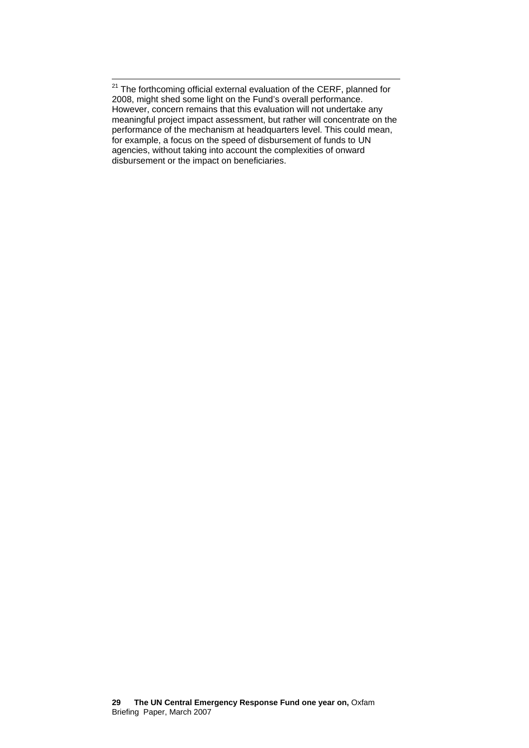$\overline{a}$ <sup>21</sup> The forthcoming official external evaluation of the CERF, planned for 2008, might shed some light on the Fund's overall performance. However, concern remains that this evaluation will not undertake any meaningful project impact assessment, but rather will concentrate on the performance of the mechanism at headquarters level. This could mean, for example, a focus on the speed of disbursement of funds to UN agencies, without taking into account the complexities of onward disbursement or the impact on beneficiaries.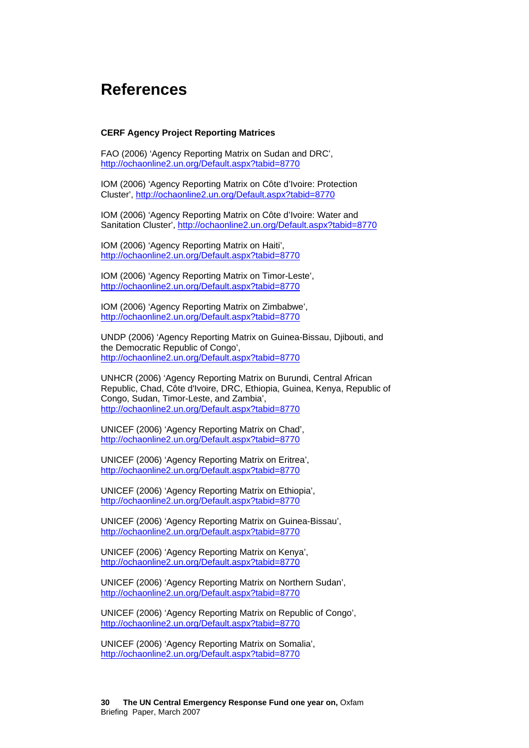# **References**

#### <span id="page-29-20"></span><span id="page-29-3"></span><span id="page-29-2"></span><span id="page-29-0"></span>**CERF Agency Project Reporting Matrices**

FAO (2006) 'Agency Reporting Matrix on Sudan and DRC', <http://ochaonline2.un.org/Default.aspx?tabid=8770>

IOM (2006) 'Agency Reporting Matrix on Côte d'Ivoire: Protection Cluster', <http://ochaonline2.un.org/Default.aspx?tabid=8770>

IOM (2006) 'Agency Reporting Matrix on Côte d'Ivoire: Water and Sanitation Cluster',<http://ochaonline2.un.org/Default.aspx?tabid=8770>

<span id="page-29-8"></span><span id="page-29-6"></span>IOM (2006) 'Agency Reporting Matrix on Haiti', <http://ochaonline2.un.org/Default.aspx?tabid=8770>

IOM (2006) 'Agency Reporting Matrix on Timor-Leste', <http://ochaonline2.un.org/Default.aspx?tabid=8770>

<span id="page-29-12"></span><span id="page-29-10"></span>IOM (2006) 'Agency Reporting Matrix on Zimbabwe', <http://ochaonline2.un.org/Default.aspx?tabid=8770>

<span id="page-29-4"></span>UNDP (2006) 'Agency Reporting Matrix on Guinea-Bissau, Djibouti, and the Democratic Republic of Congo', <http://ochaonline2.un.org/Default.aspx?tabid=8770>

<span id="page-29-13"></span><span id="page-29-9"></span>UNHCR (2006) 'Agency Reporting Matrix on Burundi, Central African Republic, Chad, Côte d'Ivoire, DRC, Ethiopia, Guinea, Kenya, Republic of Congo, Sudan, Timor-Leste, and Zambia', <http://ochaonline2.un.org/Default.aspx?tabid=8770>

UNICEF (2006) 'Agency Reporting Matrix on Chad', <http://ochaonline2.un.org/Default.aspx?tabid=8770>

<span id="page-29-19"></span><span id="page-29-1"></span>UNICEF (2006) 'Agency Reporting Matrix on Eritrea', <http://ochaonline2.un.org/Default.aspx?tabid=8770>

UNICEF (2006) 'Agency Reporting Matrix on Ethiopia', <http://ochaonline2.un.org/Default.aspx?tabid=8770>

<span id="page-29-17"></span><span id="page-29-16"></span>UNICEF (2006) 'Agency Reporting Matrix on Guinea-Bissau', <http://ochaonline2.un.org/Default.aspx?tabid=8770>

<span id="page-29-14"></span>UNICEF (2006) 'Agency Reporting Matrix on Kenya', <http://ochaonline2.un.org/Default.aspx?tabid=8770>

UNICEF (2006) 'Agency Reporting Matrix on Northern Sudan', <http://ochaonline2.un.org/Default.aspx?tabid=8770>

<span id="page-29-18"></span><span id="page-29-15"></span><span id="page-29-11"></span><span id="page-29-7"></span>UNICEF (2006) 'Agency Reporting Matrix on Republic of Congo', <http://ochaonline2.un.org/Default.aspx?tabid=8770>

<span id="page-29-5"></span>UNICEF (2006) 'Agency Reporting Matrix on Somalia', <http://ochaonline2.un.org/Default.aspx?tabid=8770>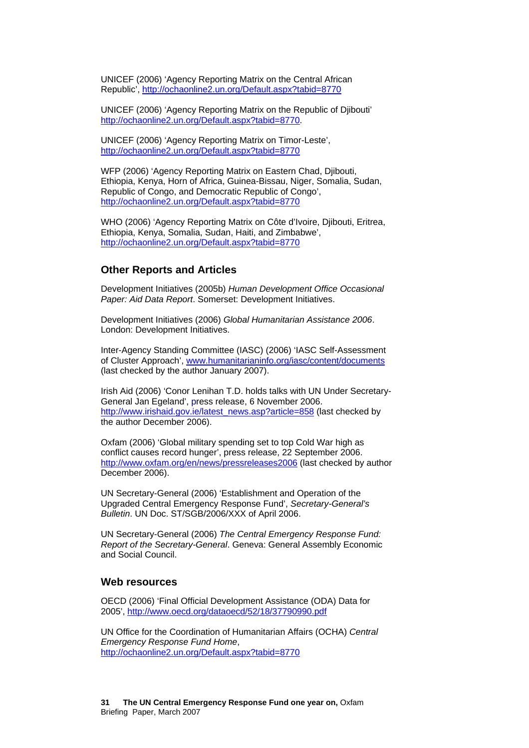UNICEF (2006) 'Agency Reporting Matrix on the Central African Republic',<http://ochaonline2.un.org/Default.aspx?tabid=8770>

UNICEF (2006) 'Agency Reporting Matrix on the Republic of Djibouti' <http://ochaonline2.un.org/Default.aspx?tabid=8770>.

UNICEF (2006) 'Agency Reporting Matrix on Timor-Leste', <http://ochaonline2.un.org/Default.aspx?tabid=8770>

WFP (2006) 'Agency Reporting Matrix on Eastern Chad, Djibouti, Ethiopia, Kenya, Horn of Africa, Guinea-Bissau, Niger, Somalia, Sudan, Republic of Congo, and Democratic Republic of Congo', <http://ochaonline2.un.org/Default.aspx?tabid=8770>

WHO (2006) 'Agency Reporting Matrix on Côte d'Ivoire, Diibouti, Eritrea, Ethiopia, Kenya, Somalia, Sudan, Haiti, and Zimbabwe', <http://ochaonline2.un.org/Default.aspx?tabid=8770>

#### **Other Reports and Articles**

Development Initiatives (2005b) *Human Development Office Occasional Paper: Aid Data Report*. Somerset: Development Initiatives.

Development Initiatives (2006) *Global Humanitarian Assistance 2006*. London: Development Initiatives.

Inter-Agency Standing Committee (IASC) (2006) 'IASC Self-Assessment of Cluster Approach', [www.humanitarianinfo.org/iasc/content/documents](http://www.humanitarianinfo.org/iasc/content/documents) (last checked by the author January 2007).

Irish Aid (2006) 'Conor Lenihan T.D. holds talks with UN Under Secretary-General Jan Egeland', press release, 6 November 2006. [http://www.irishaid.gov.ie/latest\\_news.asp?article=858](http://www.irishaid.gov.ie/latest_news.asp?article=858) (last checked by the author December 2006).

Oxfam (2006) 'Global military spending set to top Cold War high as conflict causes record hunger', press release, 22 September 2006. <http://www.oxfam.org/en/news/pressreleases2006>(last checked by author December 2006).

UN Secretary-General (2006) 'Establishment and Operation of the Upgraded Central Emergency Response Fund', *Secretary-General's Bulletin*. UN Doc. ST/SGB/2006/XXX of April 2006.

UN Secretary-General (2006) *The Central Emergency Response Fund: Report of the Secretary-General*. Geneva: General Assembly Economic and Social Council.

#### **Web resources**

OECD (2006) 'Final Official Development Assistance (ODA) Data for 2005', <http://www.oecd.org/dataoecd/52/18/37790990.pdf>

UN Office for the Coordination of Humanitarian Affairs (OCHA) *Central Emergency Response Fund Home*, <http://ochaonline2.un.org/Default.aspx?tabid=8770>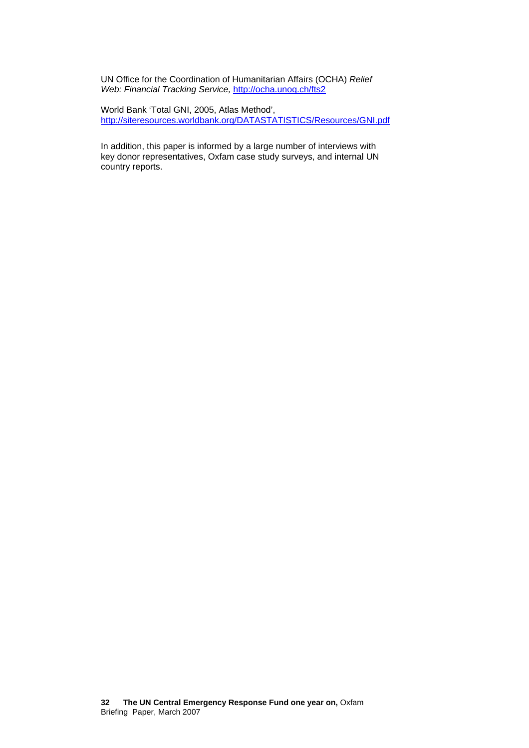UN Office for the Coordination of Humanitarian Affairs (OCHA) *Relief Web: Financial Tracking Service,* <http://ocha.unog.ch/fts2>

World Bank 'Total GNI, 2005, Atlas Method', <http://siteresources.worldbank.org/DATASTATISTICS/Resources/GNI.pdf>

In addition, this paper is informed by a large number of interviews with key donor representatives, Oxfam case study surveys, and internal UN country reports.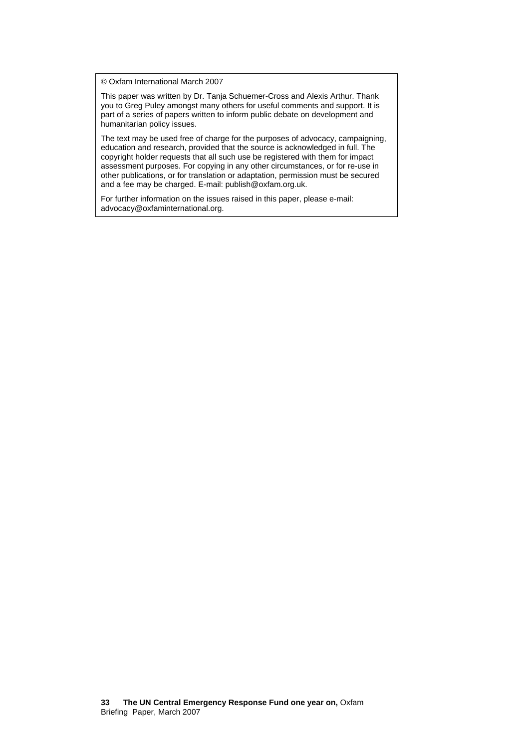© Oxfam International March 2007

This paper was written by Dr. Tanja Schuemer-Cross and Alexis Arthur. Thank you to Greg Puley amongst many others for useful comments and support. It is part of a series of papers written to inform public debate on development and humanitarian policy issues.

The text may be used free of charge for the purposes of advocacy, campaigning, education and research, provided that the source is acknowledged in full. The copyright holder requests that all such use be registered with them for impact assessment purposes. For copying in any other circumstances, or for re-use in other publications, or for translation or adaptation, permission must be secured and a fee may be charged. E-mail: publish@oxfam.org.uk.

For further information on the issues raised in this paper, please e-mail: advocacy@oxfaminternational.org.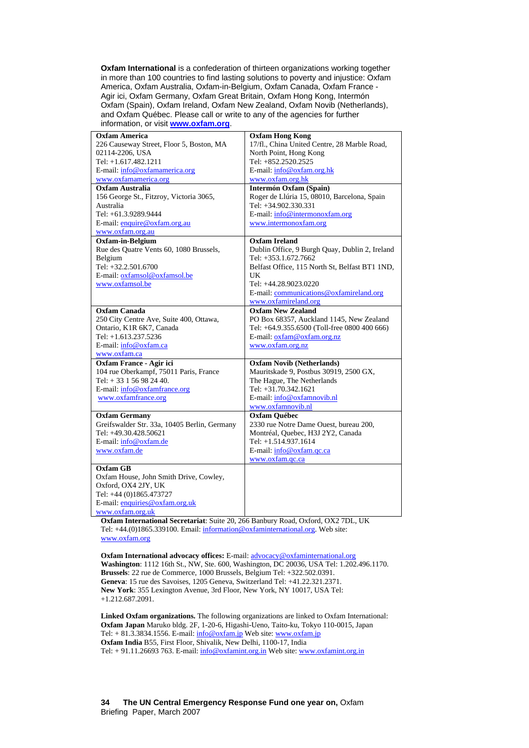**Oxfam International** is a confederation of thirteen organizations working together in more than 100 countries to find lasting solutions to poverty and injustice: Oxfam America, Oxfam Australia, Oxfam-in-Belgium, Oxfam Canada, Oxfam France - Agir ici, Oxfam Germany, Oxfam Great Britain, Oxfam Hong Kong, Intermón Oxfam (Spain), Oxfam Ireland, Oxfam New Zealand, Oxfam Novib (Netherlands), and Oxfam Québec. Please call or write to any of the agencies for further information, or visit **[www.oxfam.org](http://www.oxfam.org/)**.

| <b>Oxfam America</b>                         | <b>Oxfam Hong Kong</b>                         |
|----------------------------------------------|------------------------------------------------|
| 226 Causeway Street, Floor 5, Boston, MA     | 17/fl., China United Centre, 28 Marble Road,   |
| 02114-2206, USA                              | North Point, Hong Kong                         |
| Tel: +1.617.482.1211                         | Tel: +852.2520.2525                            |
| E-mail: info@oxfamamerica.org                | E-mail: info@oxfam.org.hk                      |
| www.oxfamamerica.org                         | www.oxfam.org.hk                               |
| <b>Oxfam Australia</b>                       | <b>Intermón Oxfam (Spain)</b>                  |
| 156 George St., Fitzroy, Victoria 3065,      | Roger de Llúria 15, 08010, Barcelona, Spain    |
| Australia                                    | Tel: +34.902.330.331                           |
| Tel: +61.3.9289.9444                         | E-mail: info@intermonoxfam.org                 |
| E-mail: enquire@oxfam.org.au                 | www.intermonoxfam.org                          |
| www.oxfam.org.au                             |                                                |
| Oxfam-in-Belgium                             | <b>Oxfam Ireland</b>                           |
| Rue des Quatre Vents 60, 1080 Brussels,      | Dublin Office, 9 Burgh Quay, Dublin 2, Ireland |
| Belgium                                      | Tel: +353.1.672.7662                           |
| Tel: +32.2.501.6700                          | Belfast Office, 115 North St, Belfast BT1 1ND, |
| E-mail: oxfamsol@oxfamsol.be                 | UK                                             |
| www.oxfamsol.be                              | Tel: +44.28.9023.0220                          |
|                                              | E-mail: communications@oxfamireland.org        |
|                                              | www.oxfamireland.org                           |
| <b>Oxfam Canada</b>                          | <b>Oxfam New Zealand</b>                       |
| 250 City Centre Ave, Suite 400, Ottawa,      | PO Box 68357, Auckland 1145, New Zealand       |
| Ontario, K1R 6K7, Canada                     | Tel: +64.9.355.6500 (Toll-free 0800 400 666)   |
| Tel: +1.613.237.5236                         | E-mail: oxfam@oxfam.org.nz                     |
| E-mail: info@oxfam.ca                        | www.oxfam.org.nz                               |
| www.oxfam.ca                                 |                                                |
| Oxfam France - Agir ici                      | <b>Oxfam Novib (Netherlands)</b>               |
| 104 rue Oberkampf, 75011 Paris, France       | Mauritskade 9, Postbus 30919, 2500 GX,         |
| Tel: $+33156982440$ .                        | The Hague, The Netherlands                     |
| E-mail: info@oxfamfrance.org                 | Tel: +31.70.342.1621                           |
| www.oxfamfrance.org                          | E-mail: info@oxfamnovib.nl                     |
|                                              | www.oxfamnovib.nl                              |
| <b>Oxfam Germany</b>                         | Oxfam Québec                                   |
| Greifswalder Str. 33a, 10405 Berlin, Germany | 2330 rue Notre Dame Ouest, bureau 200,         |
| Tel: +49.30.428.50621                        | Montréal, Quebec, H3J 2Y2, Canada              |
| E-mail: info@oxfam.de                        | Tel: +1.514.937.1614                           |
| www.oxfam.de                                 | E-mail: info@oxfam.qc.ca                       |
|                                              | www.oxfam.qc.ca                                |
| <b>Oxfam GB</b>                              |                                                |
| Oxfam House, John Smith Drive, Cowley,       |                                                |
| Oxford, OX4 2JY, UK                          |                                                |
| Tel: +44 (0)1865.473727                      |                                                |
| E-mail: enquiries@oxfam.org.uk               |                                                |
| www.oxfam.org.uk                             |                                                |

**Oxfam International Secretariat**: Suite 20, 266 Banbury Road, Oxford, OX2 7DL, UK Tel: +44.(0)1865.339100. Email: [information@oxfaminternational.org](mailto:information@oxfaminternational.org). Web site: [www.oxfam.org](http://www.oxfam.org/)

**Oxfam International advocacy offices:** E-mail: [advocacy@oxfaminternational.org](mailto:advocacy@oxfaminternational.org) **Washington**: 1112 16th St., NW, Ste. 600, Washington, DC 20036, USA Tel: 1.202.496.1170. **Brussels**: 22 rue de Commerce, 1000 Brussels, Belgium Tel: +322.502.0391. **Geneva**: 15 rue des Savoises, 1205 Geneva, Switzerland Tel: +41.22.321.2371. **New York**: 355 Lexington Avenue, 3rd Floor, New York, NY 10017, USA Tel: +1.212.687.2091.

**Linked Oxfam organizations.** The following organizations are linked to Oxfam International: **Oxfam Japan** Maruko bldg. 2F, 1-20-6, Higashi-Ueno, Taito-ku, Tokyo 110-0015, Japan Tel:  $+ 81.3.3834.1556$ . E-mail:  $\frac{\text{info@oxfam.jp}}{\text{info@oxfam.jp}}$  Web site: [www.oxfam.jp](http://www.oxfam.jp/) **Oxfam India** B55, First Floor, Shivalik, New Delhi, 1100-17, India Tel: + 91.11.26693 763. E-mail: [info@oxfamint.org.in](mailto:info@oxfamint.org.in) Web site: [www.oxfamint.org.in](http://www.oxfamint.org.in/)